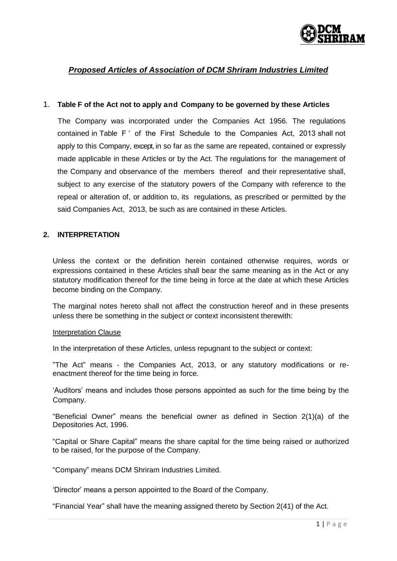

# *Proposed Articles of Association of DCM Shriram Industries Limited*

### 1. **Table F of the Act not to apply and Company to be governed by these Articles**

The Company was incorporated under the Companies Act 1956. The regulations contained in Table F ' of the First Schedule to the Companies Act, 2013 shall not apply to this Company, except, in so far as the same are repeated, contained or expressly made applicable in these Articles or by the Act. The regulations for the management of the Company and observance of the members thereof and their representative shall, subject to any exercise of the statutory powers of the Company with reference to the repeal or alteration of, or addition to, its regulations, as prescribed or permitted by the said Companies Act, 2013, be such as are contained in these Articles.

### **2. INTERPRETATION**

Unless the context or the definition herein contained otherwise requires, words or expressions contained in these Articles shall bear the same meaning as in the Act or any statutory modification thereof for the time being in force at the date at which these Articles become binding on the Company.

The marginal notes hereto shall not affect the construction hereof and in these presents unless there be something in the subject or context inconsistent therewith:

#### Interpretation Clause

In the interpretation of these Articles, unless repugnant to the subject or context:

"The Act" means - the Companies Act, 2013, or any statutory modifications or reenactment thereof for the time being in force.

"Auditors" means and includes those persons appointed as such for the time being by the Company.

"Beneficial Owner" means the beneficial owner as defined in Section 2(1)(a) of the Depositories Act, 1996.

"Capital or Share Capital" means the share capital for the time being raised or authorized to be raised, for the purpose of the Company.

"Company" means DCM Shriram Industries Limited.

"Director" means a person appointed to the Board of the Company.

"Financial Year" shall have the meaning assigned thereto by Section 2(41) of the Act.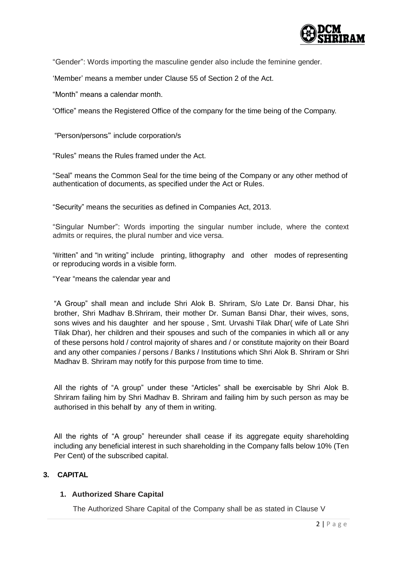

"Gender": Words importing the masculine gender also include the feminine gender.

"Member" means a member under Clause 55 of Section 2 of the Act.

"Month" means a calendar month.

"Office" means the Registered Office of the company for the time being of the Company.

"Person/persons" include corporation/s

"Rules" means the Rules framed under the Act.

"Seal" means the Common Seal for the time being of the Company or any other method of authentication of documents, as specified under the Act or Rules.

"Security" means the securities as defined in Companies Act, 2013.

"Singular Number": Words importing the singular number include, where the context admits or requires, the plural number and vice versa.

"Written" and "In writing" include printing, lithography and other modes of representing or reproducing words in a visible form.

"Year "means the calendar year and

"A Group" shall mean and include Shri Alok B. Shriram, S/o Late Dr. Bansi Dhar, his brother, Shri Madhav B.Shriram, their mother Dr. Suman Bansi Dhar, their wives, sons, sons wives and his daughter and her spouse , Smt. Urvashi Tilak Dhar( wife of Late Shri Tilak Dhar), her children and their spouses and such of the companies in which all or any of these persons hold / control majority of shares and / or constitute majority on their Board and any other companies / persons / Banks / Institutions which Shri Alok B. Shriram or Shri Madhav B. Shriram may notify for this purpose from time to time.

All the rights of "A group" under these "Articles" shall be exercisable by Shri Alok B. Shriram failing him by Shri Madhav B. Shriram and failing him by such person as may be authorised in this behalf by any of them in writing.

All the rights of "A group" hereunder shall cease if its aggregate equity shareholding including any beneficial interest in such shareholding in the Company falls below 10% (Ten Per Cent) of the subscribed capital.

# **3. CAPITAL**

# **1. Authorized Share Capital**

The Authorized Share Capital of the Company shall be as stated in Clause V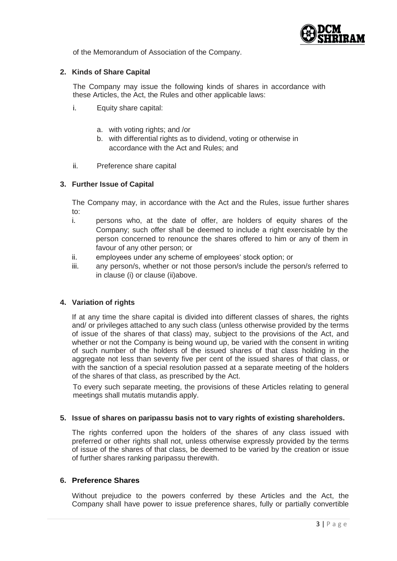

of the Memorandum of Association of the Company.

# **2. Kinds of Share Capital**

The Company may issue the following kinds of shares in accordance with these Articles, the Act, the Rules and other applicable laws:

- i. Equity share capital:
	- a. with voting rights; and /or
	- b. with differential rights as to dividend, voting or otherwise in accordance with the Act and Rules; and
- ii. Preference share capital

# **3. Further Issue of Capital**

The Company may, in accordance with the Act and the Rules, issue further shares to:

- i. persons who, at the date of offer, are holders of equity shares of the Company; such offer shall be deemed to include a right exercisable by the person concerned to renounce the shares offered to him or any of them in favour of any other person; or
- ii. employees under any scheme of employees' stock option; or
- iii. any person/s, whether or not those person/s include the person/s referred to in clause (i) or clause (ii)above.

# **4. Variation of rights**

If at any time the share capital is divided into different classes of shares, the rights and/ or privileges attached to any such class (unless otherwise provided by the terms of issue of the shares of that class) may, subject to the provisions of the Act, and whether or not the Company is being wound up, be varied with the consent in writing of such number of the holders of the issued shares of that class holding in the aggregate not less than seventy five per cent of the issued shares of that class, or with the sanction of a special resolution passed at a separate meeting of the holders of the shares of that class, as prescribed by the Act.

To every such separate meeting, the provisions of these Articles relating to general meetings shall mutatis mutandis apply.

#### **5. Issue of shares on paripassu basis not to vary rights of existing shareholders.**

The rights conferred upon the holders of the shares of any class issued with preferred or other rights shall not, unless otherwise expressly provided by the terms of issue of the shares of that class, be deemed to be varied by the creation or issue of further shares ranking paripassu therewith.

# **6. Preference Shares**

Without prejudice to the powers conferred by these Articles and the Act, the Company shall have power to issue preference shares, fully or partially convertible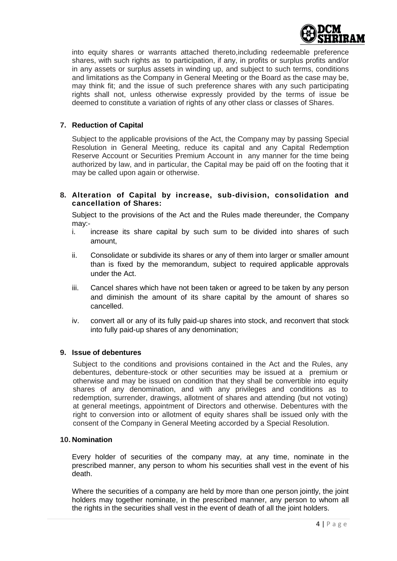

into equity shares or warrants attached thereto,including redeemable preference shares, with such rights as to participation, if any, in profits or surplus profits and/or in any assets or surplus assets in winding up, and subject to such terms, conditions and limitations as the Company in General Meeting or the Board as the case may be, may think fit; and the issue of such preference shares with any such participating rights shall not, unless otherwise expressly provided by the terms of issue be deemed to constitute a variation of rights of any other class or classes of Shares.

# **7. Reduction of Capital**

Subject to the applicable provisions of the Act, the Company may by passing Special Resolution in General Meeting, reduce its capital and any Capital Redemption Reserve Account or Securities Premium Account in any manner for the time being authorized by law, and in particular, the Capital may be paid off on the footing that it may be called upon again or otherwise.

# **8. Alteration of Capital by increase, sub-division, consolidation and cancellation of Shares:**

Subject to the provisions of the Act and the Rules made thereunder, the Company may:-

- i. increase its share capital by such sum to be divided into shares of such amount,
- ii. Consolidate or subdivide its shares or any of them into larger or smaller amount than is fixed by the memorandum, subject to required applicable approvals under the Act.
- iii. Cancel shares which have not been taken or agreed to be taken by any person and diminish the amount of its share capital by the amount of shares so cancelled.
- iv. convert all or any of its fully paid-up shares into stock, and reconvert that stock into fully paid-up shares of any denomination;

# **9. Issue of debentures**

Subject to the conditions and provisions contained in the Act and the Rules, any debentures, debenture-stock or other securities may be issued at a premium or otherwise and may be issued on condition that they shall be convertible into equity shares of any denomination, and with any privileges and conditions as to redemption, surrender, drawings, allotment of shares and attending (but not voting) at general meetings, appointment of Directors and otherwise. Debentures with the right to conversion into or allotment of equity shares shall be issued only with the consent of the Company in General Meeting accorded by a Special Resolution.

#### **10. Nomination**

Every holder of securities of the company may, at any time, nominate in the prescribed manner, any person to whom his securities shall vest in the event of his death.

Where the securities of a company are held by more than one person jointly, the joint holders may together nominate, in the prescribed manner, any person to whom all the rights in the securities shall vest in the event of death of all the joint holders.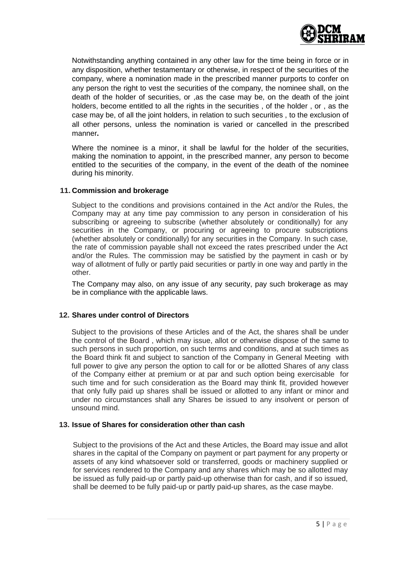

Notwithstanding anything contained in any other law for the time being in force or in any disposition, whether testamentary or otherwise, in respect of the securities of the company, where a nomination made in the prescribed manner purports to confer on any person the right to vest the securities of the company, the nominee shall, on the death of the holder of securities, or ,as the case may be, on the death of the joint holders, become entitled to all the rights in the securities , of the holder , or , as the case may be, of all the joint holders, in relation to such securities , to the exclusion of all other persons, unless the nomination is varied or cancelled in the prescribed manner**.**

Where the nominee is a minor, it shall be lawful for the holder of the securities, making the nomination to appoint, in the prescribed manner, any person to become entitled to the securities of the company, in the event of the death of the nominee during his minority.

### **11. Commission and brokerage**

Subject to the conditions and provisions contained in the Act and/or the Rules, the Company may at any time pay commission to any person in consideration of his subscribing or agreeing to subscribe (whether absolutely or conditionally) for any securities in the Company, or procuring or agreeing to procure subscriptions (whether absolutely or conditionally) for any securities in the Company. In such case, the rate of commission payable shall not exceed the rates prescribed under the Act and/or the Rules. The commission may be satisfied by the payment in cash or by way of allotment of fully or partly paid securities or partly in one way and partly in the other.

The Company may also, on any issue of any security, pay such brokerage as may be in compliance with the applicable laws.

# **12. Shares under control of Directors**

Subject to the provisions of these Articles and of the Act, the shares shall be under the control of the Board , which may issue, allot or otherwise dispose of the same to such persons in such proportion, on such terms and conditions, and at such times as the Board think fit and subject to sanction of the Company in General Meeting with full power to give any person the option to call for or be allotted Shares of any class of the Company either at premium or at par and such option being exercisable for such time and for such consideration as the Board may think fit, provided however that only fully paid up shares shall be issued or allotted to any infant or minor and under no circumstances shall any Shares be issued to any insolvent or person of unsound mind.

## **13. Issue of Shares for consideration other than cash**

Subject to the provisions of the Act and these Articles, the Board may issue and allot shares in the capital of the Company on payment or part payment for any property or assets of any kind whatsoever sold or transferred, goods or machinery supplied or for services rendered to the Company and any shares which may be so allotted may be issued as fully paid-up or partly paid-up otherwise than for cash, and if so issued, shall be deemed to be fully paid-up or partly paid-up shares, as the case maybe.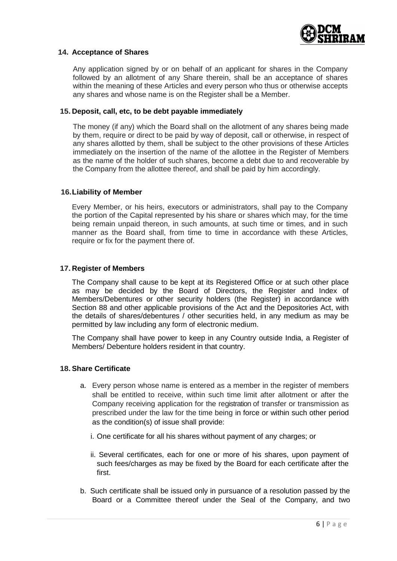

#### **14. Acceptance of Shares**

Any application signed by or on behalf of an applicant for shares in the Company followed by an allotment of any Share therein, shall be an acceptance of shares within the meaning of these Articles and every person who thus or otherwise accepts any shares and whose name is on the Register shall be a Member.

#### **15. Deposit, call, etc, to be debt payable immediately**

The money (if any) which the Board shall on the allotment of any shares being made by them, require or direct to be paid by way of deposit, call or otherwise, in respect of any shares allotted by them, shall be subject to the other provisions of these Articles immediately on the insertion of the name of the allottee in the Register of Members as the name of the holder of such shares, become a debt due to and recoverable by the Company from the allottee thereof, and shall be paid by him accordingly.

### **16.Liability of Member**

Every Member, or his heirs, executors or administrators, shall pay to the Company the portion of the Capital represented by his share or shares which may, for the time being remain unpaid thereon, in such amounts, at such time or times, and in such manner as the Board shall, from time to time in accordance with these Articles, require or fix for the payment there of.

### **17. Register of Members**

The Company shall cause to be kept at its Registered Office or at such other place as may be decided by the Board of Directors, the Register and Index of Members/Debentures or other security holders (the Register) in accordance with Section 88 and other applicable provisions of the Act and the Depositories Act, with the details of shares/debentures / other securities held, in any medium as may be permitted by law including any form of electronic medium.

The Company shall have power to keep in any Country outside India, a Register of Members/ Debenture holders resident in that country.

#### **18. Share Certificate**

- a. Every person whose name is entered as a member in the register of members shall be entitled to receive, within such time limit after allotment or after the Company receiving application for the registration of transfer or transmission as prescribed under the law for the time being in force or within such other period as the condition(s) of issue shall provide:
	- i. One certificate for all his shares without payment of any charges; or
	- ii. Several certificates, each for one or more of his shares, upon payment of such fees/charges as may be fixed by the Board for each certificate after the first.
- b. Such certificate shall be issued only in pursuance of a resolution passed by the Board or a Committee thereof under the Seal of the Company, and two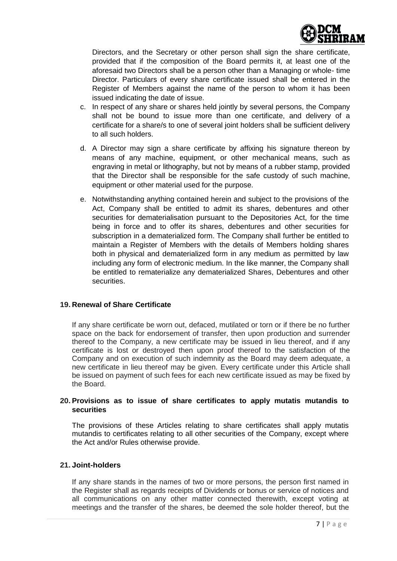

Directors, and the Secretary or other person shall sign the share certificate, provided that if the composition of the Board permits it, at least one of the aforesaid two Directors shall be a person other than a Managing or whole- time Director. Particulars of every share certificate issued shall be entered in the Register of Members against the name of the person to whom it has been issued indicating the date of issue.

- c. In respect of any share or shares held jointly by several persons, the Company shall not be bound to issue more than one certificate, and delivery of a certificate for a share/s to one of several joint holders shall be sufficient delivery to all such holders.
- d. A Director may sign a share certificate by affixing his signature thereon by means of any machine, equipment, or other mechanical means, such as engraving in metal or lithography, but not by means of a rubber stamp, provided that the Director shall be responsible for the safe custody of such machine, equipment or other material used for the purpose.
- e. Notwithstanding anything contained herein and subject to the provisions of the Act, Company shall be entitled to admit its shares, debentures and other securities for dematerialisation pursuant to the Depositories Act, for the time being in force and to offer its shares, debentures and other securities for subscription in a dematerialized form. The Company shall further be entitled to maintain a Register of Members with the details of Members holding shares both in physical and dematerialized form in any medium as permitted by law including any form of electronic medium. In the like manner, the Company shall be entitled to rematerialize any dematerialized Shares, Debentures and other securities.

# **19. Renewal of Share Certificate**

If any share certificate be worn out, defaced, mutilated or torn or if there be no further space on the back for endorsement of transfer, then upon production and surrender thereof to the Company, a new certificate may be issued in lieu thereof, and if any certificate is lost or destroyed then upon proof thereof to the satisfaction of the Company and on execution of such indemnity as the Board may deem adequate, a new certificate in lieu thereof may be given. Every certificate under this Article shall be issued on payment of such fees for each new certificate issued as may be fixed by the Board.

# **20. Provisions as to issue of share certificates to apply mutatis mutandis to securities**

The provisions of these Articles relating to share certificates shall apply mutatis mutandis to certificates relating to all other securities of the Company, except where the Act and/or Rules otherwise provide.

# **21. Joint-holders**

If any share stands in the names of two or more persons, the person first named in the Register shall as regards receipts of Dividends or bonus or service of notices and all communications on any other matter connected therewith, except voting at meetings and the transfer of the shares, be deemed the sole holder thereof, but the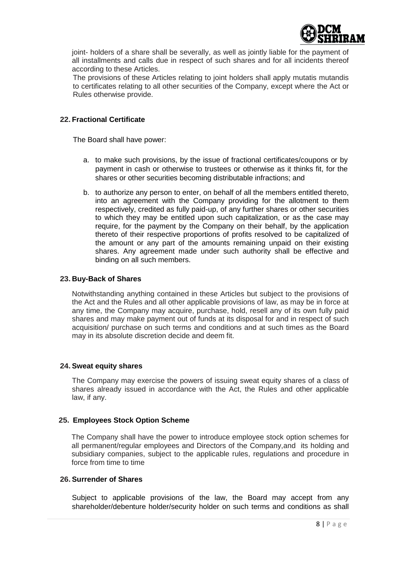

joint- holders of a share shall be severally, as well as jointly liable for the payment of all installments and calls due in respect of such shares and for all incidents thereof according to these Articles.

The provisions of these Articles relating to joint holders shall apply mutatis mutandis to certificates relating to all other securities of the Company, except where the Act or Rules otherwise provide.

## **22. Fractional Certificate**

The Board shall have power:

- a. to make such provisions, by the issue of fractional certificates/coupons or by payment in cash or otherwise to trustees or otherwise as it thinks fit, for the shares or other securities becoming distributable infractions; and
- b. to authorize any person to enter, on behalf of all the members entitled thereto, into an agreement with the Company providing for the allotment to them respectively, credited as fully paid-up, of any further shares or other securities to which they may be entitled upon such capitalization, or as the case may require, for the payment by the Company on their behalf, by the application thereto of their respective proportions of profits resolved to be capitalized of the amount or any part of the amounts remaining unpaid on their existing shares. Any agreement made under such authority shall be effective and binding on all such members.

### **23. Buy-Back of Shares**

Notwithstanding anything contained in these Articles but subject to the provisions of the Act and the Rules and all other applicable provisions of law, as may be in force at any time, the Company may acquire, purchase, hold, resell any of its own fully paid shares and may make payment out of funds at its disposal for and in respect of such acquisition/ purchase on such terms and conditions and at such times as the Board may in its absolute discretion decide and deem fit.

#### **24. Sweat equity shares**

The Company may exercise the powers of issuing sweat equity shares of a class of shares already issued in accordance with the Act, the Rules and other applicable law, if any.

# **25. Employees Stock Option Scheme**

The Company shall have the power to introduce employee stock option schemes for all permanent/regular employees and Directors of the Company,and its holding and subsidiary companies, subject to the applicable rules, regulations and procedure in force from time to time

## **26. Surrender of Shares**

Subject to applicable provisions of the law, the Board may accept from any shareholder/debenture holder/security holder on such terms and conditions as shall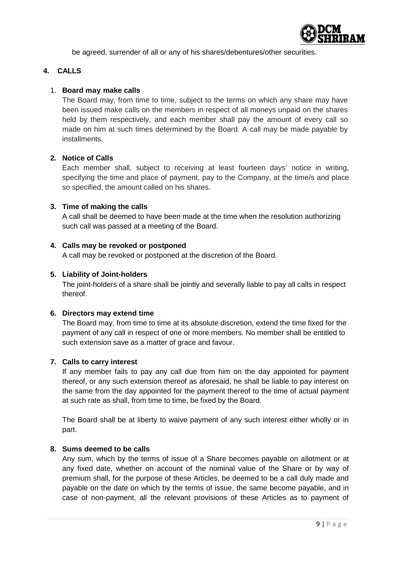

be agreed, surrender of all or any of his shares/debentures/other securities.

# **4. CALLS**

# 1. **Board may make calls**

The Board may, from time to time, subject to the terms on which any share may have been issued make calls on the members in respect of all moneys unpaid on the shares held by them respectively, and each member shall pay the amount of every call so made on him at such times determined by the Board. A call may be made payable by installments.

# **2. Notice of Calls**

Each member shall, subject to receiving at least fourteen days' notice in writing, specifying the time and place of payment, pay to the Company, at the time/s and place so specified, the amount called on his shares.

# **3. Time of making the calls**

A call shall be deemed to have been made at the time when the resolution authorizing such call was passed at a meeting of the Board.

# **4. Calls may be revoked or postponed**

A call may be revoked or postponed at the discretion of the Board.

# **5. Liability of Joint-holders**

The joint-holders of a share shall be jointly and severally liable to pay all calls in respect thereof.

# **6. Directors may extend time**

The Board may, from time to time at its absolute discretion, extend the time fixed for the payment of any call in respect of one or more members. No member shall be entitled to such extension save as a matter of grace and favour.

# **7. Calls to carry interest**

If any member fails to pay any call due from him on the day appointed for payment thereof, or any such extension thereof as aforesaid, he shall be liable to pay interest on the same from the day appointed for the payment thereof to the time of actual payment at such rate as shall, from time to time, be fixed by the Board.

The Board shall be at liberty to waive payment of any such interest either wholly or in part.

# **8. Sums deemed to be calls**

Any sum, which by the terms of issue of a Share becomes payable on allotment or at any fixed date, whether on account of the nominal value of the Share or by way of premium shall, for the purpose of these Articles, be deemed to be a call duly made and payable on the date on which by the terms of issue, the same become payable, and in case of non-payment, all the relevant provisions of these Articles as to payment of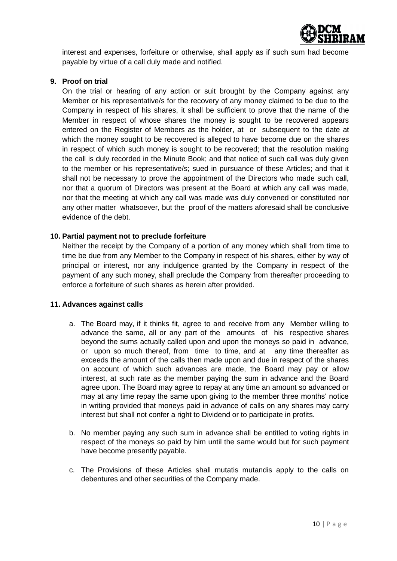

interest and expenses, forfeiture or otherwise, shall apply as if such sum had become payable by virtue of a call duly made and notified.

# **9. Proof on trial**

On the trial or hearing of any action or suit brought by the Company against any Member or his representative/s for the recovery of any money claimed to be due to the Company in respect of his shares, it shall be sufficient to prove that the name of the Member in respect of whose shares the money is sought to be recovered appears entered on the Register of Members as the holder, at or subsequent to the date at which the money sought to be recovered is alleged to have become due on the shares in respect of which such money is sought to be recovered; that the resolution making the call is duly recorded in the Minute Book; and that notice of such call was duly given to the member or his representative/s; sued in pursuance of these Articles; and that it shall not be necessary to prove the appointment of the Directors who made such call, nor that a quorum of Directors was present at the Board at which any call was made, nor that the meeting at which any call was made was duly convened or constituted nor any other matter whatsoever, but the proof of the matters aforesaid shall be conclusive evidence of the debt.

# **10. Partial payment not to preclude forfeiture**

Neither the receipt by the Company of a portion of any money which shall from time to time be due from any Member to the Company in respect of his shares, either by way of principal or interest, nor any indulgence granted by the Company in respect of the payment of any such money, shall preclude the Company from thereafter proceeding to enforce a forfeiture of such shares as herein after provided.

# **11. Advances against calls**

- a. The Board may, if it thinks fit, agree to and receive from any Member willing to advance the same, all or any part of the amounts of his respective shares beyond the sums actually called upon and upon the moneys so paid in advance, or upon so much thereof, from time to time, and at any time thereafter as exceeds the amount of the calls then made upon and due in respect of the shares on account of which such advances are made, the Board may pay or allow interest, at such rate as the member paying the sum in advance and the Board agree upon. The Board may agree to repay at any time an amount so advanced or may at any time repay the same upon giving to the member three months" notice in writing provided that moneys paid in advance of calls on any shares may carry interest but shall not confer a right to Dividend or to participate in profits.
- b. No member paying any such sum in advance shall be entitled to voting rights in respect of the moneys so paid by him until the same would but for such payment have become presently payable.
- c. The Provisions of these Articles shall mutatis mutandis apply to the calls on debentures and other securities of the Company made.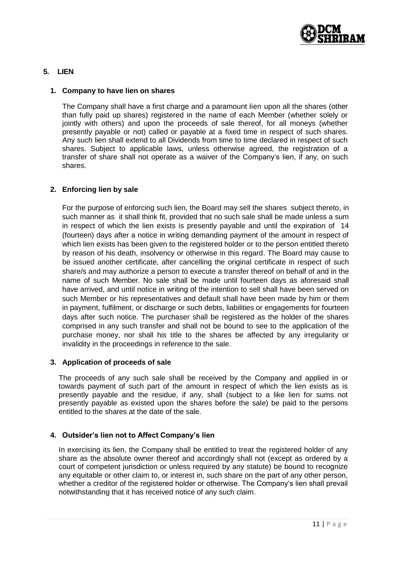

# **5. LIEN**

## **1. Company to have lien on shares**

The Company shall have a first charge and a paramount lien upon all the shares (other than fully paid up shares) registered in the name of each Member (whether solely or jointly with others) and upon the proceeds of sale thereof, for all moneys (whether presently payable or not) called or payable at a fixed time in respect of such shares. Any such lien shall extend to all Dividends from time to time declared in respect of such shares. Subject to applicable laws, unless otherwise agreed, the registration of a transfer of share shall not operate as a waiver of the Company"s lien, if any, on such shares.

# **2. Enforcing lien by sale**

For the purpose of enforcing such lien, the Board may sell the shares subject thereto, in such manner as it shall think fit, provided that no such sale shall be made unless a sum in respect of which the lien exists is presently payable and until the expiration of 14 (fourteen) days after a notice in writing demanding payment of the amount in respect of which lien exists has been given to the registered holder or to the person entitled thereto by reason of his death, insolvency or otherwise in this regard. The Board may cause to be issued another certificate, after cancelling the original certificate in respect of such share/s and may authorize a person to execute a transfer thereof on behalf of and in the name of such Member. No sale shall be made until fourteen days as aforesaid shall have arrived, and until notice in writing of the intention to sell shall have been served on such Member or his representatives and default shall have been made by him or them in payment, fulfilment, or discharge or such debts, liabilities or engagements for fourteen days after such notice. The purchaser shall be registered as the holder of the shares comprised in any such transfer and shall not be bound to see to the application of the purchase money, nor shall his title to the shares be affected by any irregularity or invalidity in the proceedings in reference to the sale.

# **3. Application of proceeds of sale**

The proceeds of any such sale shall be received by the Company and applied in or towards payment of such part of the amount in respect of which the lien exists as is presently payable and the residue, if any, shall (subject to a like lien for sums not presently payable as existed upon the shares before the sale) be paid to the persons entitled to the shares at the date of the sale.

# **4. Outsider's lien not to Affect Company's lien**

In exercising its lien, the Company shall be entitled to treat the registered holder of any share as the absolute owner thereof and accordingly shall not (except as ordered by a court of competent jurisdiction or unless required by any statute) be bound to recognize any equitable or other claim to, or interest in, such share on the part of any other person, whether a creditor of the registered holder or otherwise. The Company's lien shall prevail notwithstanding that it has received notice of any such claim.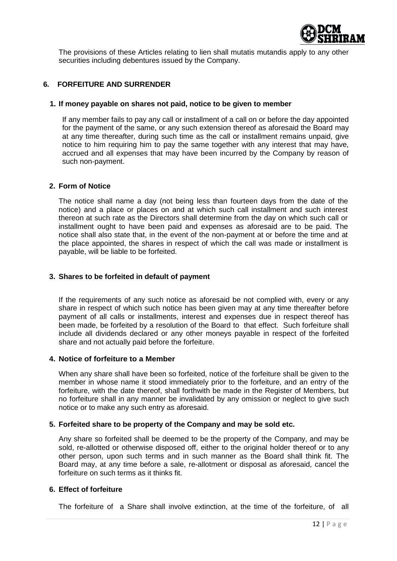

The provisions of these Articles relating to lien shall mutatis mutandis apply to any other securities including debentures issued by the Company.

# **6. FORFEITURE AND SURRENDER**

### **1. If money payable on shares not paid, notice to be given to member**

If any member fails to pay any call or installment of a call on or before the day appointed for the payment of the same, or any such extension thereof as aforesaid the Board may at any time thereafter, during such time as the call or installment remains unpaid, give notice to him requiring him to pay the same together with any interest that may have, accrued and all expenses that may have been incurred by the Company by reason of such non-payment.

### **2. Form of Notice**

The notice shall name a day (not being less than fourteen days from the date of the notice) and a place or places on and at which such call installment and such interest thereon at such rate as the Directors shall determine from the day on which such call or installment ought to have been paid and expenses as aforesaid are to be paid. The notice shall also state that, in the event of the non-payment at or before the time and at the place appointed, the shares in respect of which the call was made or installment is payable, will be liable to be forfeited.

### **3. Shares to be forfeited in default of payment**

If the requirements of any such notice as aforesaid be not complied with, every or any share in respect of which such notice has been given may at any time thereafter before payment of all calls or installments, interest and expenses due in respect thereof has been made, be forfeited by a resolution of the Board to that effect. Such forfeiture shall include all dividends declared or any other moneys payable in respect of the forfeited share and not actually paid before the forfeiture.

#### **4. Notice of forfeiture to a Member**

When any share shall have been so forfeited, notice of the forfeiture shall be given to the member in whose name it stood immediately prior to the forfeiture, and an entry of the forfeiture, with the date thereof, shall forthwith be made in the Register of Members, but no forfeiture shall in any manner be invalidated by any omission or neglect to give such notice or to make any such entry as aforesaid.

# **5. Forfeited share to be property of the Company and may be sold etc.**

Any share so forfeited shall be deemed to be the property of the Company, and may be sold, re-allotted or otherwise disposed off, either to the original holder thereof or to any other person, upon such terms and in such manner as the Board shall think fit. The Board may, at any time before a sale, re-allotment or disposal as aforesaid, cancel the forfeiture on such terms as it thinks fit.

# **6. Effect of forfeiture**

The forfeiture of a Share shall involve extinction, at the time of the forfeiture, of all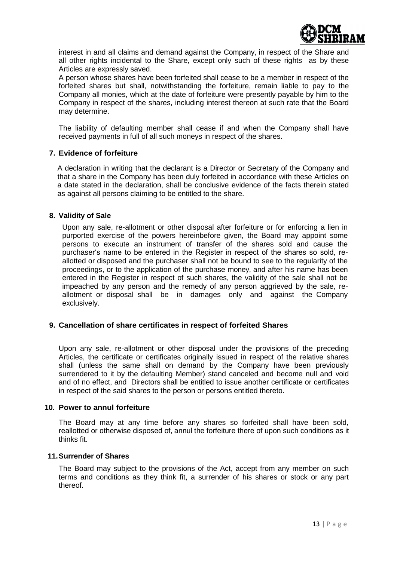

interest in and all claims and demand against the Company, in respect of the Share and all other rights incidental to the Share, except only such of these rights as by these Articles are expressly saved.

A person whose shares have been forfeited shall cease to be a member in respect of the forfeited shares but shall, notwithstanding the forfeiture, remain liable to pay to the Company all monies, which at the date of forfeiture were presently payable by him to the Company in respect of the shares, including interest thereon at such rate that the Board may determine.

The liability of defaulting member shall cease if and when the Company shall have received payments in full of all such moneys in respect of the shares.

# **7. Evidence of forfeiture**

A declaration in writing that the declarant is a Director or Secretary of the Company and that a share in the Company has been duly forfeited in accordance with these Articles on a date stated in the declaration, shall be conclusive evidence of the facts therein stated as against all persons claiming to be entitled to the share.

### **8. Validity of Sale**

Upon any sale, re-allotment or other disposal after forfeiture or for enforcing a lien in purported exercise of the powers hereinbefore given, the Board may appoint some persons to execute an instrument of transfer of the shares sold and cause the purchaser"s name to be entered in the Register in respect of the shares so sold, reallotted or disposed and the purchaser shall not be bound to see to the regularity of the proceedings, or to the application of the purchase money, and after his name has been entered in the Register in respect of such shares, the validity of the sale shall not be impeached by any person and the remedy of any person aggrieved by the sale, reallotment or disposal shall be in damages only and against the Company exclusively.

# **9. Cancellation of share certificates in respect of forfeited Shares**

Upon any sale, re-allotment or other disposal under the provisions of the preceding Articles, the certificate or certificates originally issued in respect of the relative shares shall (unless the same shall on demand by the Company have been previously surrendered to it by the defaulting Member) stand canceled and become null and void and of no effect, and Directors shall be entitled to issue another certificate or certificates in respect of the said shares to the person or persons entitled thereto.

#### **10. Power to annul forfeiture**

The Board may at any time before any shares so forfeited shall have been sold, reallotted or otherwise disposed of, annul the forfeiture there of upon such conditions as it thinks fit.

#### **11.Surrender of Shares**

The Board may subject to the provisions of the Act, accept from any member on such terms and conditions as they think fit, a surrender of his shares or stock or any part thereof.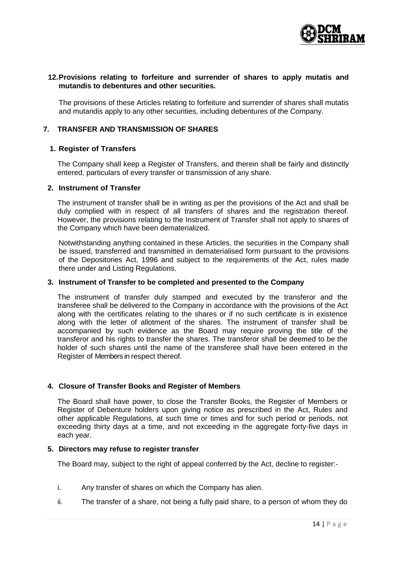

## **12.Provisions relating to forfeiture and surrender of shares to apply mutatis and mutandis to debentures and other securities.**

The provisions of these Articles relating to forfeiture and surrender of shares shall mutatis and mutandis apply to any other securities, including debentures of the Company.

# **7. TRANSFER AND TRANSMISSION OF SHARES**

#### **1. Register of Transfers**

The Company shall keep a Register of Transfers, and therein shall be fairly and distinctly entered, particulars of every transfer or transmission of any share.

### **2. Instrument of Transfer**

The instrument of transfer shall be in writing as per the provisions of the Act and shall be duly complied with in respect of all transfers of shares and the registration thereof. However, the provisions relating to the Instrument of Transfer shall not apply to shares of the Company which have been dematerialized.

Notwithstanding anything contained in these Articles, the securities in the Company shall be issued, transferred and transmitted in dematerialised form pursuant to the provisions of the Depositories Act, 1996 and subject to the requirements of the Act, rules made there under and Listing Regulations.

#### **3. Instrument of Transfer to be completed and presented to the Company**

The instrument of transfer duly stamped and executed by the transferor and the transferee shall be delivered to the Company in accordance with the provisions of the Act along with the certificates relating to the shares or if no such certificate is in existence along with the letter of allotment of the shares. The instrument of transfer shall be accompanied by such evidence as the Board may require proving the title of the transferor and his rights to transfer the shares. The transferor shall be deemed to be the holder of such shares until the name of the transferee shall have been entered in the Register of Members in respect thereof.

#### **4. Closure of Transfer Books and Register of Members**

The Board shall have power, to close the Transfer Books, the Register of Members or Register of Debenture holders upon giving notice as prescribed in the Act, Rules and other applicable Regulations, at such time or times and for such period or periods, not exceeding thirty days at a time, and not exceeding in the aggregate forty-five days in each year.

#### **5. Directors may refuse to register transfer**

The Board may, subject to the right of appeal conferred by the Act, decline to register:-

- i. Any transfer of shares on which the Company has alien.
- ii. The transfer of a share, not being a fully paid share, to a person of whom they do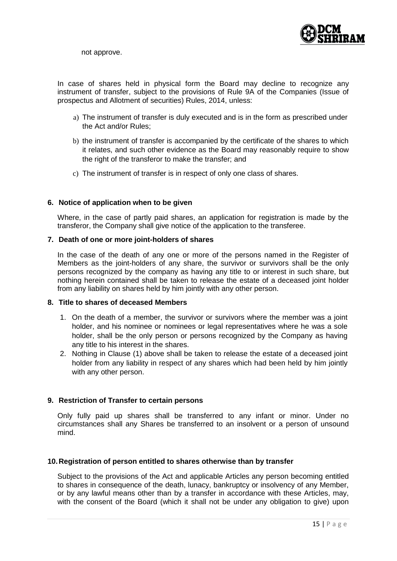

not approve.

In case of shares held in physical form the Board may decline to recognize any instrument of transfer, subject to the provisions of Rule 9A of the Companies (Issue of prospectus and Allotment of securities) Rules, 2014, unless:

- a) The instrument of transfer is duly executed and is in the form as prescribed under the Act and/or Rules;
- b) the instrument of transfer is accompanied by the certificate of the shares to which it relates, and such other evidence as the Board may reasonably require to show the right of the transferor to make the transfer; and
- c) The instrument of transfer is in respect of only one class of shares.

### **6. Notice of application when to be given**

Where, in the case of partly paid shares, an application for registration is made by the transferor, the Company shall give notice of the application to the transferee.

#### **7. Death of one or more joint-holders of shares**

In the case of the death of any one or more of the persons named in the Register of Members as the joint-holders of any share, the survivor or survivors shall be the only persons recognized by the company as having any title to or interest in such share, but nothing herein contained shall be taken to release the estate of a deceased joint holder from any liability on shares held by him jointly with any other person.

### **8. Title to shares of deceased Members**

- 1. On the death of a member, the survivor or survivors where the member was a joint holder, and his nominee or nominees or legal representatives where he was a sole holder, shall be the only person or persons recognized by the Company as having any title to his interest in the shares.
- 2. Nothing in Clause (1) above shall be taken to release the estate of a deceased joint holder from any liability in respect of any shares which had been held by him jointly with any other person.

# **9. Restriction of Transfer to certain persons**

Only fully paid up shares shall be transferred to any infant or minor. Under no circumstances shall any Shares be transferred to an insolvent or a person of unsound mind.

#### **10.Registration of person entitled to shares otherwise than by transfer**

Subject to the provisions of the Act and applicable Articles any person becoming entitled to shares in consequence of the death, lunacy, bankruptcy or insolvency of any Member, or by any lawful means other than by a transfer in accordance with these Articles, may, with the consent of the Board (which it shall not be under any obligation to give) upon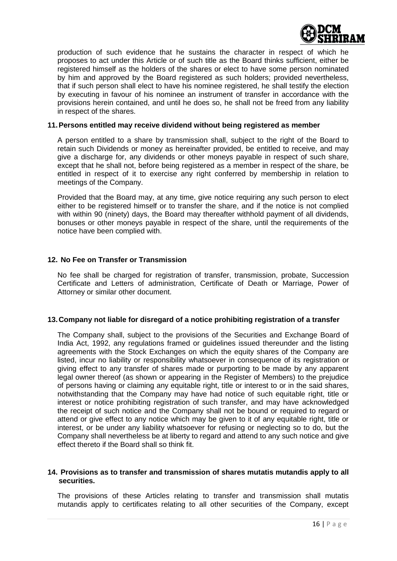

production of such evidence that he sustains the character in respect of which he proposes to act under this Article or of such title as the Board thinks sufficient, either be registered himself as the holders of the shares or elect to have some person nominated by him and approved by the Board registered as such holders; provided nevertheless, that if such person shall elect to have his nominee registered, he shall testify the election by executing in favour of his nominee an instrument of transfer in accordance with the provisions herein contained, and until he does so, he shall not be freed from any liability in respect of the shares.

#### **11.Persons entitled may receive dividend without being registered as member**

A person entitled to a share by transmission shall, subject to the right of the Board to retain such Dividends or money as hereinafter provided, be entitled to receive, and may give a discharge for, any dividends or other moneys payable in respect of such share, except that he shall not, before being registered as a member in respect of the share, be entitled in respect of it to exercise any right conferred by membership in relation to meetings of the Company.

Provided that the Board may, at any time, give notice requiring any such person to elect either to be registered himself or to transfer the share, and if the notice is not complied with within 90 (ninety) days, the Board may thereafter withhold payment of all dividends, bonuses or other moneys payable in respect of the share, until the requirements of the notice have been complied with.

#### **12. No Fee on Transfer or Transmission**

No fee shall be charged for registration of transfer, transmission, probate, Succession Certificate and Letters of administration, Certificate of Death or Marriage, Power of Attorney or similar other document.

#### **13.Company not liable for disregard of a notice prohibiting registration of a transfer**

The Company shall, subject to the provisions of the Securities and Exchange Board of India Act, 1992, any regulations framed or guidelines issued thereunder and the listing agreements with the Stock Exchanges on which the equity shares of the Company are listed, incur no liability or responsibility whatsoever in consequence of its registration or giving effect to any transfer of shares made or purporting to be made by any apparent legal owner thereof (as shown or appearing in the Register of Members) to the prejudice of persons having or claiming any equitable right, title or interest to or in the said shares, notwithstanding that the Company may have had notice of such equitable right, title or interest or notice prohibiting registration of such transfer, and may have acknowledged the receipt of such notice and the Company shall not be bound or required to regard or attend or give effect to any notice which may be given to it of any equitable right, title or interest, or be under any liability whatsoever for refusing or neglecting so to do, but the Company shall nevertheless be at liberty to regard and attend to any such notice and give effect thereto if the Board shall so think fit.

#### **14. Provisions as to transfer and transmission of shares mutatis mutandis apply to all securities.**

The provisions of these Articles relating to transfer and transmission shall mutatis mutandis apply to certificates relating to all other securities of the Company, except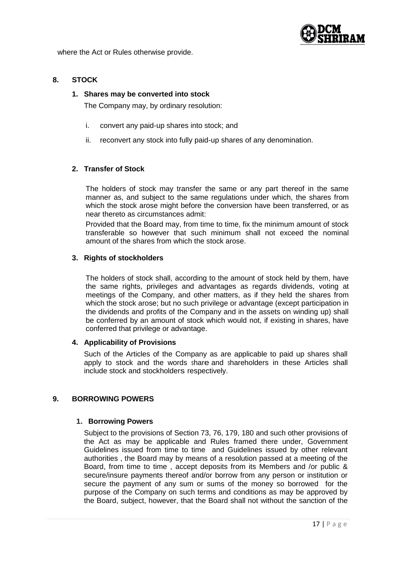

where the Act or Rules otherwise provide.

# **8. STOCK**

### **1. Shares may be converted into stock**

The Company may, by ordinary resolution:

- i. convert any paid-up shares into stock; and
- ii. reconvert any stock into fully paid-up shares of any denomination.

# **2. Transfer of Stock**

The holders of stock may transfer the same or any part thereof in the same manner as, and subject to the same regulations under which, the shares from which the stock arose might before the conversion have been transferred, or as near thereto as circumstances admit:

Provided that the Board may, from time to time, fix the minimum amount of stock transferable so however that such minimum shall not exceed the nominal amount of the shares from which the stock arose.

# **3. Rights of stockholders**

The holders of stock shall, according to the amount of stock held by them, have the same rights, privileges and advantages as regards dividends, voting at meetings of the Company, and other matters, as if they held the shares from which the stock arose; but no such privilege or advantage (except participation in the dividends and profits of the Company and in the assets on winding up) shall be conferred by an amount of stock which would not, if existing in shares, have conferred that privilege or advantage.

# **4. Applicability of Provisions**

Such of the Articles of the Company as are applicable to paid up shares shall apply to stock and the words share and shareholders in these Articles shall include stock and stockholders respectively.

#### **9. BORROWING POWERS**

#### **1. Borrowing Powers**

Subject to the provisions of Section 73, 76, 179, 180 and such other provisions of the Act as may be applicable and Rules framed there under, Government Guidelines issued from time to time and Guidelines issued by other relevant authorities , the Board may by means of a resolution passed at a meeting of the Board, from time to time , accept deposits from its Members and /or public & secure/insure payments thereof and/or borrow from any person or institution or secure the payment of any sum or sums of the money so borrowed for the purpose of the Company on such terms and conditions as may be approved by the Board, subject, however, that the Board shall not without the sanction of the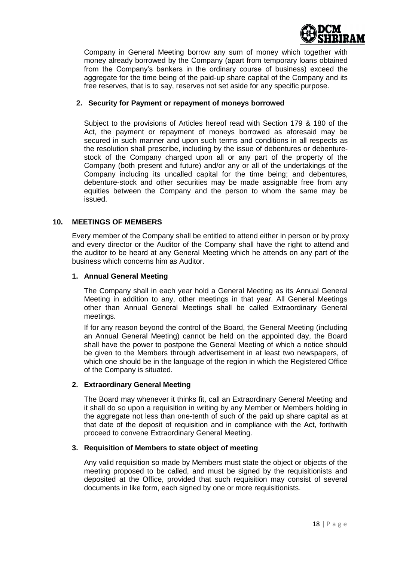

Company in General Meeting borrow any sum of money which together with money already borrowed by the Company (apart from temporary loans obtained from the Company"s bankers in the ordinary course of business) exceed the aggregate for the time being of the paid-up share capital of the Company and its free reserves, that is to say, reserves not set aside for any specific purpose.

## **2. Security for Payment or repayment of moneys borrowed**

Subject to the provisions of Articles hereof read with Section 179 & 180 of the Act, the payment or repayment of moneys borrowed as aforesaid may be secured in such manner and upon such terms and conditions in all respects as the resolution shall prescribe, including by the issue of debentures or debenturestock of the Company charged upon all or any part of the property of the Company (both present and future) and/or any or all of the undertakings of the Company including its uncalled capital for the time being; and debentures, debenture-stock and other securities may be made assignable free from any equities between the Company and the person to whom the same may be issued.

# **10. MEETINGS OF MEMBERS**

Every member of the Company shall be entitled to attend either in person or by proxy and every director or the Auditor of the Company shall have the right to attend and the auditor to be heard at any General Meeting which he attends on any part of the business which concerns him as Auditor.

### **1. Annual General Meeting**

The Company shall in each year hold a General Meeting as its Annual General Meeting in addition to any, other meetings in that year. All General Meetings other than Annual General Meetings shall be called Extraordinary General meetings.

If for any reason beyond the control of the Board, the General Meeting (including an Annual General Meeting) cannot be held on the appointed day, the Board shall have the power to postpone the General Meeting of which a notice should be given to the Members through advertisement in at least two newspapers, of which one should be in the language of the region in which the Registered Office of the Company is situated.

# **2. Extraordinary General Meeting**

The Board may whenever it thinks fit, call an Extraordinary General Meeting and it shall do so upon a requisition in writing by any Member or Members holding in the aggregate not less than one-tenth of such of the paid up share capital as at that date of the deposit of requisition and in compliance with the Act, forthwith proceed to convene Extraordinary General Meeting.

# **3. Requisition of Members to state object of meeting**

Any valid requisition so made by Members must state the object or objects of the meeting proposed to be called, and must be signed by the requisitionists and deposited at the Office, provided that such requisition may consist of several documents in like form, each signed by one or more requisitionists.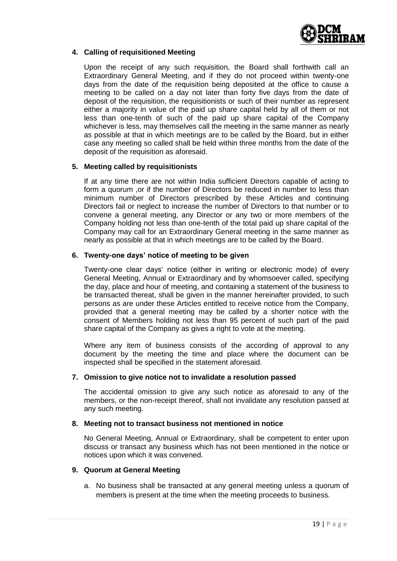

# **4. Calling of requisitioned Meeting**

Upon the receipt of any such requisition, the Board shall forthwith call an Extraordinary General Meeting, and if they do not proceed within twenty-one days from the date of the requisition being deposited at the office to cause a meeting to be called on a day not later than forty five days from the date of deposit of the requisition, the requisitionists or such of their number as represent either a majority in value of the paid up share capital held by all of them or not less than one-tenth of such of the paid up share capital of the Company whichever is less, may themselves call the meeting in the same manner as nearly as possible at that in which meetings are to be called by the Board, but in either case any meeting so called shall be held within three months from the date of the deposit of the requisition as aforesaid.

### **5. Meeting called by requisitionists**

If at any time there are not within India sufficient Directors capable of acting to form a quorum ,or if the number of Directors be reduced in number to less than minimum number of Directors prescribed by these Articles and continuing Directors fail or neglect to increase the number of Directors to that number or to convene a general meeting, any Director or any two or more members of the Company holding not less than one-tenth of the total paid up share capital of the Company may call for an Extraordinary General meeting in the same manner as nearly as possible at that in which meetings are to be called by the Board.

### **6. Twenty-one days' notice of meeting to be given**

Twenty-one clear days' notice (either in writing or electronic mode) of every General Meeting, Annual or Extraordinary and by whomsoever called, specifying the day, place and hour of meeting, and containing a statement of the business to be transacted thereat, shall be given in the manner hereinafter provided, to such persons as are under these Articles entitled to receive notice from the Company, provided that a general meeting may be called by a shorter notice with the consent of Members holding not less than 95 percent of such part of the paid share capital of the Company as gives a right to vote at the meeting.

Where any item of business consists of the according of approval to any document by the meeting the time and place where the document can be inspected shall be specified in the statement aforesaid.

#### **7. Omission to give notice not to invalidate a resolution passed**

The accidental omission to give any such notice as aforesaid to any of the members, or the non-receipt thereof, shall not invalidate any resolution passed at any such meeting.

#### **8. Meeting not to transact business not mentioned in notice**

No General Meeting, Annual or Extraordinary, shall be competent to enter upon discuss or transact any business which has not been mentioned in the notice or notices upon which it was convened.

# **9. Quorum at General Meeting**

a. No business shall be transacted at any general meeting unless a quorum of members is present at the time when the meeting proceeds to business.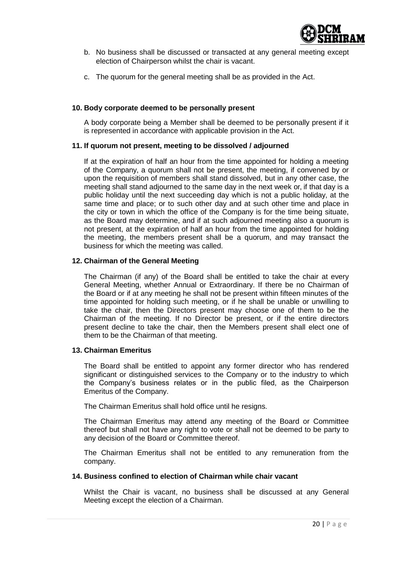

- b. No business shall be discussed or transacted at any general meeting except election of Chairperson whilst the chair is vacant.
- c. The quorum for the general meeting shall be as provided in the Act.

#### **10. Body corporate deemed to be personally present**

A body corporate being a Member shall be deemed to be personally present if it is represented in accordance with applicable provision in the Act.

### **11. If quorum not present, meeting to be dissolved / adjourned**

If at the expiration of half an hour from the time appointed for holding a meeting of the Company, a quorum shall not be present, the meeting, if convened by or upon the requisition of members shall stand dissolved, but in any other case, the meeting shall stand adjourned to the same day in the next week or, if that day is a public holiday until the next succeeding day which is not a public holiday, at the same time and place; or to such other day and at such other time and place in the city or town in which the office of the Company is for the time being situate, as the Board may determine, and if at such adjourned meeting also a quorum is not present, at the expiration of half an hour from the time appointed for holding the meeting, the members present shall be a quorum, and may transact the business for which the meeting was called.

## **12. Chairman of the General Meeting**

The Chairman (if any) of the Board shall be entitled to take the chair at every General Meeting, whether Annual or Extraordinary. If there be no Chairman of the Board or if at any meeting he shall not be present within fifteen minutes of the time appointed for holding such meeting, or if he shall be unable or unwilling to take the chair, then the Directors present may choose one of them to be the Chairman of the meeting. If no Director be present, or if the entire directors present decline to take the chair, then the Members present shall elect one of them to be the Chairman of that meeting.

#### **13. Chairman Emeritus**

The Board shall be entitled to appoint any former director who has rendered significant or distinguished services to the Company or to the industry to which the Company"s business relates or in the public filed, as the Chairperson Emeritus of the Company.

The Chairman Emeritus shall hold office until he resigns.

The Chairman Emeritus may attend any meeting of the Board or Committee thereof but shall not have any right to vote or shall not be deemed to be party to any decision of the Board or Committee thereof.

The Chairman Emeritus shall not be entitled to any remuneration from the company.

## **14. Business confined to election of Chairman while chair vacant**

Whilst the Chair is vacant, no business shall be discussed at any General Meeting except the election of a Chairman.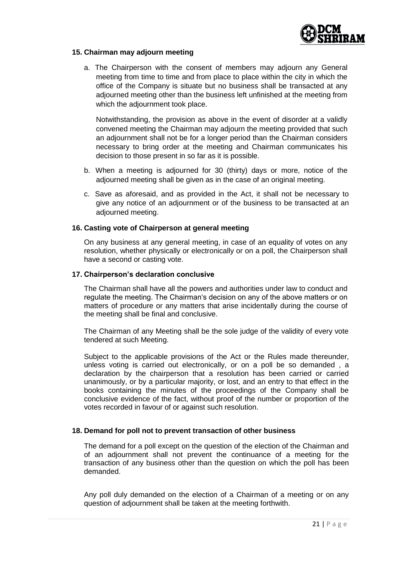

## **15. Chairman may adjourn meeting**

a. The Chairperson with the consent of members may adjourn any General meeting from time to time and from place to place within the city in which the office of the Company is situate but no business shall be transacted at any adjourned meeting other than the business left unfinished at the meeting from which the adjournment took place.

Notwithstanding, the provision as above in the event of disorder at a validly convened meeting the Chairman may adjourn the meeting provided that such an adjournment shall not be for a longer period than the Chairman considers necessary to bring order at the meeting and Chairman communicates his decision to those present in so far as it is possible.

- b. When a meeting is adjourned for 30 (thirty) days or more, notice of the adjourned meeting shall be given as in the case of an original meeting.
- c. Save as aforesaid, and as provided in the Act, it shall not be necessary to give any notice of an adjournment or of the business to be transacted at an adjourned meeting.

### **16. Casting vote of Chairperson at general meeting**

On any business at any general meeting, in case of an equality of votes on any resolution, whether physically or electronically or on a poll, the Chairperson shall have a second or casting vote.

### **17. Chairperson's declaration conclusive**

The Chairman shall have all the powers and authorities under law to conduct and regulate the meeting. The Chairman"s decision on any of the above matters or on matters of procedure or any matters that arise incidentally during the course of the meeting shall be final and conclusive.

The Chairman of any Meeting shall be the sole judge of the validity of every vote tendered at such Meeting.

Subject to the applicable provisions of the Act or the Rules made thereunder, unless voting is carried out electronically, or on a poll be so demanded , a declaration by the chairperson that a resolution has been carried or carried unanimously, or by a particular majority, or lost, and an entry to that effect in the books containing the minutes of the proceedings of the Company shall be conclusive evidence of the fact, without proof of the number or proportion of the votes recorded in favour of or against such resolution.

#### **18. Demand for poll not to prevent transaction of other business**

The demand for a poll except on the question of the election of the Chairman and of an adjournment shall not prevent the continuance of a meeting for the transaction of any business other than the question on which the poll has been demanded.

Any poll duly demanded on the election of a Chairman of a meeting or on any question of adjournment shall be taken at the meeting forthwith.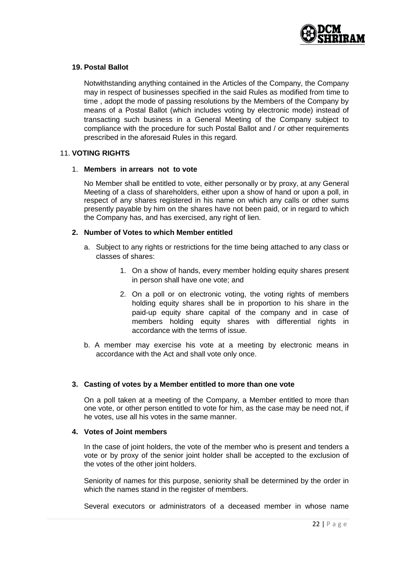

## **19. Postal Ballot**

Notwithstanding anything contained in the Articles of the Company, the Company may in respect of businesses specified in the said Rules as modified from time to time , adopt the mode of passing resolutions by the Members of the Company by means of a Postal Ballot (which includes voting by electronic mode) instead of transacting such business in a General Meeting of the Company subject to compliance with the procedure for such Postal Ballot and / or other requirements prescribed in the aforesaid Rules in this regard.

### 11. **VOTING RIGHTS**

#### 1. **Members in arrears not to vote**

No Member shall be entitled to vote, either personally or by proxy, at any General Meeting of a class of shareholders, either upon a show of hand or upon a poll, in respect of any shares registered in his name on which any calls or other sums presently payable by him on the shares have not been paid, or in regard to which the Company has, and has exercised, any right of lien.

### **2. Number of Votes to which Member entitled**

- a. Subject to any rights or restrictions for the time being attached to any class or classes of shares:
	- 1. On a show of hands, every member holding equity shares present in person shall have one vote; and
	- 2. On a poll or on electronic voting, the voting rights of members holding equity shares shall be in proportion to his share in the paid-up equity share capital of the company and in case of members holding equity shares with differential rights in accordance with the terms of issue.
- b. A member may exercise his vote at a meeting by electronic means in accordance with the Act and shall vote only once.

# **3. Casting of votes by a Member entitled to more than one vote**

On a poll taken at a meeting of the Company, a Member entitled to more than one vote, or other person entitled to vote for him, as the case may be need not, if he votes, use all his votes in the same manner.

#### **4. Votes of Joint members**

In the case of joint holders, the vote of the member who is present and tenders a vote or by proxy of the senior joint holder shall be accepted to the exclusion of the votes of the other joint holders.

Seniority of names for this purpose, seniority shall be determined by the order in which the names stand in the register of members.

Several executors or administrators of a deceased member in whose name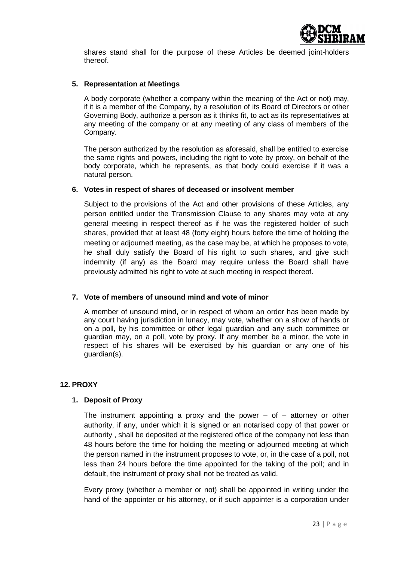

shares stand shall for the purpose of these Articles be deemed joint-holders thereof.

## **5. Representation at Meetings**

A body corporate (whether a company within the meaning of the Act or not) may, if it is a member of the Company, by a resolution of its Board of Directors or other Governing Body, authorize a person as it thinks fit, to act as its representatives at any meeting of the company or at any meeting of any class of members of the Company.

The person authorized by the resolution as aforesaid, shall be entitled to exercise the same rights and powers, including the right to vote by proxy, on behalf of the body corporate, which he represents, as that body could exercise if it was a natural person.

### **6. Votes in respect of shares of deceased or insolvent member**

Subject to the provisions of the Act and other provisions of these Articles, any person entitled under the Transmission Clause to any shares may vote at any general meeting in respect thereof as if he was the registered holder of such shares, provided that at least 48 (forty eight) hours before the time of holding the meeting or adjourned meeting, as the case may be, at which he proposes to vote, he shall duly satisfy the Board of his right to such shares, and give such indemnity (if any) as the Board may require unless the Board shall have previously admitted his right to vote at such meeting in respect thereof.

# **7. Vote of members of unsound mind and vote of minor**

A member of unsound mind, or in respect of whom an order has been made by any court having jurisdiction in lunacy, may vote, whether on a show of hands or on a poll, by his committee or other legal guardian and any such committee or guardian may, on a poll, vote by proxy. If any member be a minor, the vote in respect of his shares will be exercised by his guardian or any one of his guardian(s).

# **12. PROXY**

# **1. Deposit of Proxy**

The instrument appointing a proxy and the power  $-$  of  $-$  attorney or other authority, if any, under which it is signed or an notarised copy of that power or authority , shall be deposited at the registered office of the company not less than 48 hours before the time for holding the meeting or adjourned meeting at which the person named in the instrument proposes to vote, or, in the case of a poll, not less than 24 hours before the time appointed for the taking of the poll; and in default, the instrument of proxy shall not be treated as valid.

Every proxy (whether a member or not) shall be appointed in writing under the hand of the appointer or his attorney, or if such appointer is a corporation under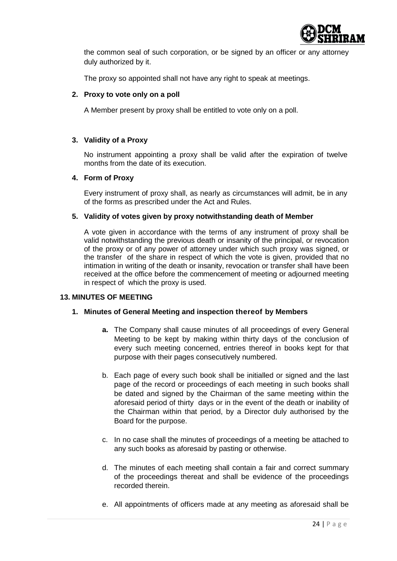

the common seal of such corporation, or be signed by an officer or any attorney duly authorized by it.

The proxy so appointed shall not have any right to speak at meetings.

# **2. Proxy to vote only on a poll**

A Member present by proxy shall be entitled to vote only on a poll.

# **3. Validity of a Proxy**

No instrument appointing a proxy shall be valid after the expiration of twelve months from the date of its execution.

# **4. Form of Proxy**

Every instrument of proxy shall, as nearly as circumstances will admit, be in any of the forms as prescribed under the Act and Rules.

# **5. Validity of votes given by proxy notwithstanding death of Member**

A vote given in accordance with the terms of any instrument of proxy shall be valid notwithstanding the previous death or insanity of the principal, or revocation of the proxy or of any power of attorney under which such proxy was signed, or the transfer of the share in respect of which the vote is given, provided that no intimation in writing of the death or insanity, revocation or transfer shall have been received at the office before the commencement of meeting or adjourned meeting in respect of which the proxy is used.

# **13. MINUTES OF MEETING**

# **1. Minutes of General Meeting and inspection thereof by Members**

- **a.** The Company shall cause minutes of all proceedings of every General Meeting to be kept by making within thirty days of the conclusion of every such meeting concerned, entries thereof in books kept for that purpose with their pages consecutively numbered.
- b. Each page of every such book shall be initialled or signed and the last page of the record or proceedings of each meeting in such books shall be dated and signed by the Chairman of the same meeting within the aforesaid period of thirty days or in the event of the death or inability of the Chairman within that period, by a Director duly authorised by the Board for the purpose.
- c. In no case shall the minutes of proceedings of a meeting be attached to any such books as aforesaid by pasting or otherwise.
- d. The minutes of each meeting shall contain a fair and correct summary of the proceedings thereat and shall be evidence of the proceedings recorded therein.
- e. All appointments of officers made at any meeting as aforesaid shall be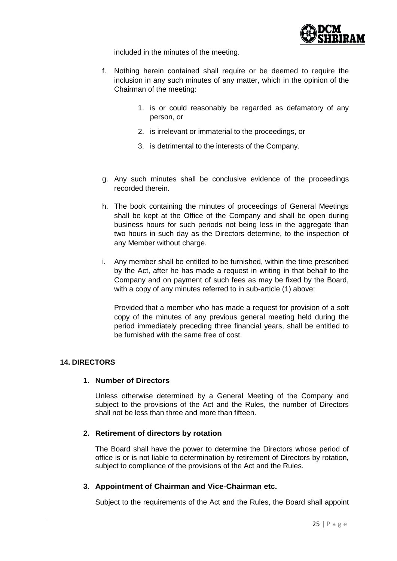

included in the minutes of the meeting.

- f. Nothing herein contained shall require or be deemed to require the inclusion in any such minutes of any matter, which in the opinion of the Chairman of the meeting:
	- 1. is or could reasonably be regarded as defamatory of any person, or
	- 2. is irrelevant or immaterial to the proceedings, or
	- 3. is detrimental to the interests of the Company.
- g. Any such minutes shall be conclusive evidence of the proceedings recorded therein.
- h. The book containing the minutes of proceedings of General Meetings shall be kept at the Office of the Company and shall be open during business hours for such periods not being less in the aggregate than two hours in such day as the Directors determine, to the inspection of any Member without charge.
- i. Any member shall be entitled to be furnished, within the time prescribed by the Act, after he has made a request in writing in that behalf to the Company and on payment of such fees as may be fixed by the Board, with a copy of any minutes referred to in sub-article (1) above:

Provided that a member who has made a request for provision of a soft copy of the minutes of any previous general meeting held during the period immediately preceding three financial years, shall be entitled to be furnished with the same free of cost.

# **14. DIRECTORS**

#### **1. Number of Directors**

Unless otherwise determined by a General Meeting of the Company and subject to the provisions of the Act and the Rules, the number of Directors shall not be less than three and more than fifteen.

#### **2. Retirement of directors by rotation**

The Board shall have the power to determine the Directors whose period of office is or is not liable to determination by retirement of Directors by rotation, subject to compliance of the provisions of the Act and the Rules.

# **3. Appointment of Chairman and Vice-Chairman etc.**

Subject to the requirements of the Act and the Rules, the Board shall appoint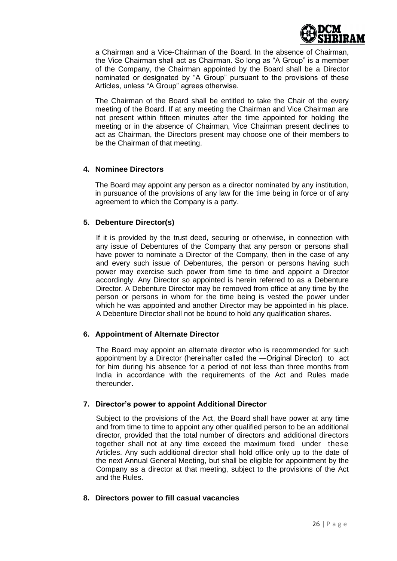

a Chairman and a Vice-Chairman of the Board. In the absence of Chairman, the Vice Chairman shall act as Chairman. So long as "A Group" is a member of the Company, the Chairman appointed by the Board shall be a Director nominated or designated by "A Group" pursuant to the provisions of these Articles, unless "A Group" agrees otherwise.

The Chairman of the Board shall be entitled to take the Chair of the every meeting of the Board. If at any meeting the Chairman and Vice Chairman are not present within fifteen minutes after the time appointed for holding the meeting or in the absence of Chairman, Vice Chairman present declines to act as Chairman, the Directors present may choose one of their members to be the Chairman of that meeting.

# **4. Nominee Directors**

The Board may appoint any person as a director nominated by any institution, in pursuance of the provisions of any law for the time being in force or of any agreement to which the Company is a party.

# **5. Debenture Director(s)**

If it is provided by the trust deed, securing or otherwise, in connection with any issue of Debentures of the Company that any person or persons shall have power to nominate a Director of the Company, then in the case of any and every such issue of Debentures, the person or persons having such power may exercise such power from time to time and appoint a Director accordingly. Any Director so appointed is herein referred to as a Debenture Director. A Debenture Director may be removed from office at any time by the person or persons in whom for the time being is vested the power under which he was appointed and another Director may be appointed in his place. A Debenture Director shall not be bound to hold any qualification shares.

# **6. Appointment of Alternate Director**

The Board may appoint an alternate director who is recommended for such appointment by a Director (hereinafter called the ―Original Director) to act for him during his absence for a period of not less than three months from India in accordance with the requirements of the Act and Rules made thereunder.

# **7. Director's power to appoint Additional Director**

Subject to the provisions of the Act, the Board shall have power at any time and from time to time to appoint any other qualified person to be an additional director, provided that the total number of directors and additional directors together shall not at any time exceed the maximum fixed under these Articles. Any such additional director shall hold office only up to the date of the next Annual General Meeting, but shall be eligible for appointment by the Company as a director at that meeting, subject to the provisions of the Act and the Rules.

# **8. Directors power to fill casual vacancies**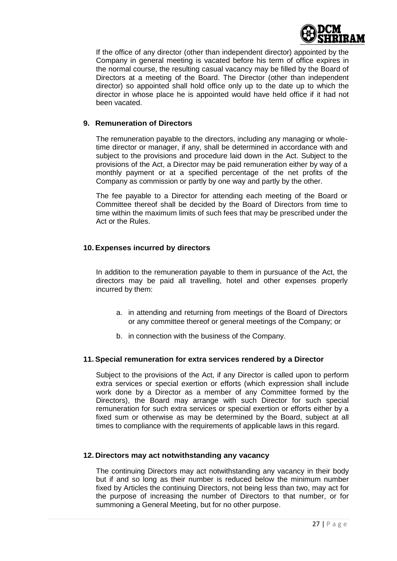

If the office of any director (other than independent director) appointed by the Company in general meeting is vacated before his term of office expires in the normal course, the resulting casual vacancy may be filled by the Board of Directors at a meeting of the Board. The Director (other than independent director) so appointed shall hold office only up to the date up to which the director in whose place he is appointed would have held office if it had not been vacated.

# **9. Remuneration of Directors**

The remuneration payable to the directors, including any managing or wholetime director or manager, if any, shall be determined in accordance with and subject to the provisions and procedure laid down in the Act. Subject to the provisions of the Act, a Director may be paid remuneration either by way of a monthly payment or at a specified percentage of the net profits of the Company as commission or partly by one way and partly by the other.

The fee payable to a Director for attending each meeting of the Board or Committee thereof shall be decided by the Board of Directors from time to time within the maximum limits of such fees that may be prescribed under the Act or the Rules.

# **10. Expenses incurred by directors**

In addition to the remuneration payable to them in pursuance of the Act, the directors may be paid all travelling, hotel and other expenses properly incurred by them:

- a. in attending and returning from meetings of the Board of Directors or any committee thereof or general meetings of the Company; or
- b. in connection with the business of the Company.

#### **11. Special remuneration for extra services rendered by a Director**

Subject to the provisions of the Act, if any Director is called upon to perform extra services or special exertion or efforts (which expression shall include work done by a Director as a member of any Committee formed by the Directors), the Board may arrange with such Director for such special remuneration for such extra services or special exertion or efforts either by a fixed sum or otherwise as may be determined by the Board, subject at all times to compliance with the requirements of applicable laws in this regard.

#### **12. Directors may act notwithstanding any vacancy**

The continuing Directors may act notwithstanding any vacancy in their body but if and so long as their number is reduced below the minimum number fixed by Articles the continuing Directors, not being less than two, may act for the purpose of increasing the number of Directors to that number, or for summoning a General Meeting, but for no other purpose.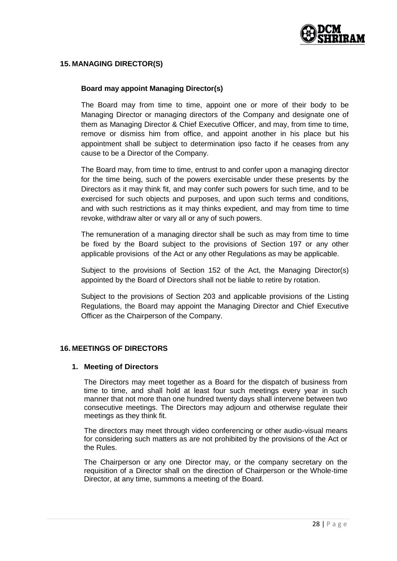

# **15. MANAGING DIRECTOR(S)**

## **Board may appoint Managing Director(s)**

The Board may from time to time, appoint one or more of their body to be Managing Director or managing directors of the Company and designate one of them as Managing Director & Chief Executive Officer, and may, from time to time, remove or dismiss him from office, and appoint another in his place but his appointment shall be subject to determination ipso facto if he ceases from any cause to be a Director of the Company.

The Board may, from time to time, entrust to and confer upon a managing director for the time being, such of the powers exercisable under these presents by the Directors as it may think fit, and may confer such powers for such time, and to be exercised for such objects and purposes, and upon such terms and conditions, and with such restrictions as it may thinks expedient, and may from time to time revoke, withdraw alter or vary all or any of such powers.

The remuneration of a managing director shall be such as may from time to time be fixed by the Board subject to the provisions of Section 197 or any other applicable provisions of the Act or any other Regulations as may be applicable.

Subject to the provisions of Section 152 of the Act, the Managing Director(s) appointed by the Board of Directors shall not be liable to retire by rotation.

Subject to the provisions of Section 203 and applicable provisions of the Listing Regulations, the Board may appoint the Managing Director and Chief Executive Officer as the Chairperson of the Company.

# **16. MEETINGS OF DIRECTORS**

#### **1. Meeting of Directors**

The Directors may meet together as a Board for the dispatch of business from time to time, and shall hold at least four such meetings every year in such manner that not more than one hundred twenty days shall intervene between two consecutive meetings. The Directors may adjourn and otherwise regulate their meetings as they think fit.

The directors may meet through video conferencing or other audio-visual means for considering such matters as are not prohibited by the provisions of the Act or the Rules.

The Chairperson or any one Director may, or the company secretary on the requisition of a Director shall on the direction of Chairperson or the Whole-time Director, at any time, summons a meeting of the Board.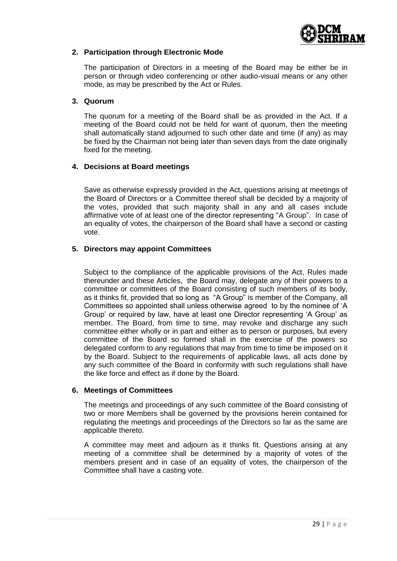

## **2. Participation through Electronic Mode**

The participation of Directors in a meeting of the Board may be either be in person or through video conferencing or other audio-visual means or any other mode, as may be prescribed by the Act or Rules.

#### **3. Quorum**

The quorum for a meeting of the Board shall be as provided in the Act. If a meeting of the Board could not be held for want of quorum, then the meeting shall automatically stand adjourned to such other date and time (if any) as may be fixed by the Chairman not being later than seven days from the date originally fixed for the meeting.

### **4. Decisions at Board meetings**

Save as otherwise expressly provided in the Act, questions arising at meetings of the Board of Directors or a Committee thereof shall be decided by a majority of the votes, provided that such majority shall in any and all cases include affirmative vote of at least one of the director representing "A Group". In case of an equality of votes, the chairperson of the Board shall have a second or casting vote.

### **5. Directors may appoint Committees**

Subject to the compliance of the applicable provisions of the Act, Rules made thereunder and these Articles, the Board may, delegate any of their powers to a committee or committees of the Board consisting of such members of its body, as it thinks fit, provided that so long as "A Group" is member of the Company, all Committees so appointed shall unless otherwise agreed to by the nominee of "A Group" or required by law, have at least one Director representing "A Group" as member. The Board, from time to time, may revoke and discharge any such committee either wholly or in part and either as to person or purposes, but every committee of the Board so formed shall in the exercise of the powers so delegated conform to any regulations that may from time to time be imposed on it by the Board. Subject to the requirements of applicable laws, all acts done by any such committee of the Board in conformity with such regulations shall have the like force and effect as if done by the Board.

#### **6. Meetings of Committees**

The meetings and proceedings of any such committee of the Board consisting of two or more Members shall be governed by the provisions herein contained for regulating the meetings and proceedings of the Directors so far as the same are applicable thereto.

A committee may meet and adjourn as it thinks fit. Questions arising at any meeting of a committee shall be determined by a majority of votes of the members present and in case of an equality of votes, the chairperson of the Committee shall have a casting vote.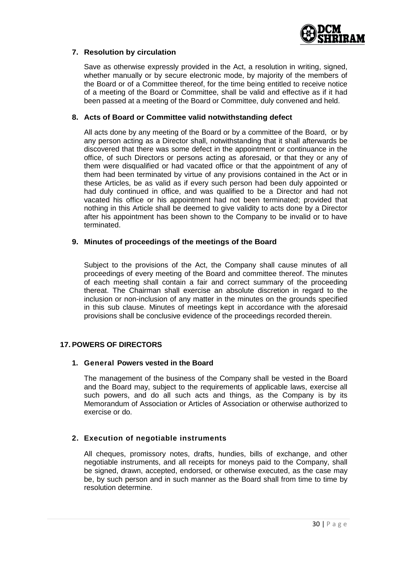

# **7. Resolution by circulation**

Save as otherwise expressly provided in the Act, a resolution in writing, signed, whether manually or by secure electronic mode, by majority of the members of the Board or of a Committee thereof, for the time being entitled to receive notice of a meeting of the Board or Committee, shall be valid and effective as if it had been passed at a meeting of the Board or Committee, duly convened and held.

## **8. Acts of Board or Committee valid notwithstanding defect**

All acts done by any meeting of the Board or by a committee of the Board, or by any person acting as a Director shall, notwithstanding that it shall afterwards be discovered that there was some defect in the appointment or continuance in the office, of such Directors or persons acting as aforesaid, or that they or any of them were disqualified or had vacated office or that the appointment of any of them had been terminated by virtue of any provisions contained in the Act or in these Articles, be as valid as if every such person had been duly appointed or had duly continued in office, and was qualified to be a Director and had not vacated his office or his appointment had not been terminated; provided that nothing in this Article shall be deemed to give validity to acts done by a Director after his appointment has been shown to the Company to be invalid or to have terminated.

# **9. Minutes of proceedings of the meetings of the Board**

Subject to the provisions of the Act, the Company shall cause minutes of all proceedings of every meeting of the Board and committee thereof. The minutes of each meeting shall contain a fair and correct summary of the proceeding thereat. The Chairman shall exercise an absolute discretion in regard to the inclusion or non-inclusion of any matter in the minutes on the grounds specified in this sub clause. Minutes of meetings kept in accordance with the aforesaid provisions shall be conclusive evidence of the proceedings recorded therein.

# **17. POWERS OF DIRECTORS**

# **1. General Powers vested in the Board**

The management of the business of the Company shall be vested in the Board and the Board may, subject to the requirements of applicable laws, exercise all such powers, and do all such acts and things, as the Company is by its Memorandum of Association or Articles of Association or otherwise authorized to exercise or do.

# **2. Execution of negotiable instruments**

All cheques, promissory notes, drafts, hundies, bills of exchange, and other negotiable instruments, and all receipts for moneys paid to the Company, shall be signed, drawn, accepted, endorsed, or otherwise executed, as the case may be, by such person and in such manner as the Board shall from time to time by resolution determine.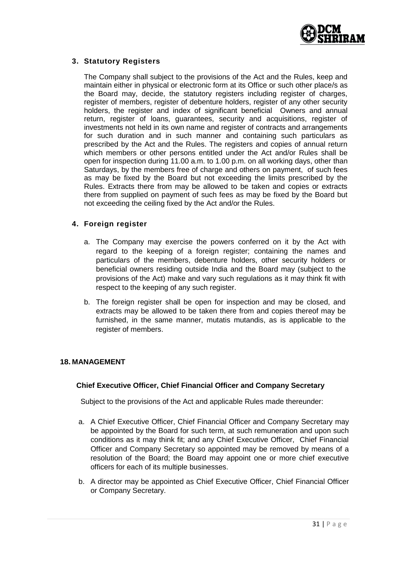

# **3. Statutory Registers**

The Company shall subject to the provisions of the Act and the Rules, keep and maintain either in physical or electronic form at its Office or such other place/s as the Board may, decide, the statutory registers including register of charges, register of members, register of debenture holders, register of any other security holders, the register and index of significant beneficial Owners and annual return, register of loans, guarantees, security and acquisitions, register of investments not held in its own name and register of contracts and arrangements for such duration and in such manner and containing such particulars as prescribed by the Act and the Rules. The registers and copies of annual return which members or other persons entitled under the Act and/or Rules shall be open for inspection during 11.00 a.m. to 1.00 p.m. on all working days, other than Saturdays, by the members free of charge and others on payment, of such fees as may be fixed by the Board but not exceeding the limits prescribed by the Rules. Extracts there from may be allowed to be taken and copies or extracts there from supplied on payment of such fees as may be fixed by the Board but not exceeding the ceiling fixed by the Act and/or the Rules.

# **4. Foreign register**

- a. The Company may exercise the powers conferred on it by the Act with regard to the keeping of a foreign register; containing the names and particulars of the members, debenture holders, other security holders or beneficial owners residing outside India and the Board may (subject to the provisions of the Act) make and vary such regulations as it may think fit with respect to the keeping of any such register.
- b. The foreign register shall be open for inspection and may be closed, and extracts may be allowed to be taken there from and copies thereof may be furnished, in the same manner, mutatis mutandis, as is applicable to the register of members.

# **18. MANAGEMENT**

# **Chief Executive Officer, Chief Financial Officer and Company Secretary**

Subject to the provisions of the Act and applicable Rules made thereunder:

- a. A Chief Executive Officer, Chief Financial Officer and Company Secretary may be appointed by the Board for such term, at such remuneration and upon such conditions as it may think fit; and any Chief Executive Officer, Chief Financial Officer and Company Secretary so appointed may be removed by means of a resolution of the Board; the Board may appoint one or more chief executive officers for each of its multiple businesses.
- b. A director may be appointed as Chief Executive Officer, Chief Financial Officer or Company Secretary.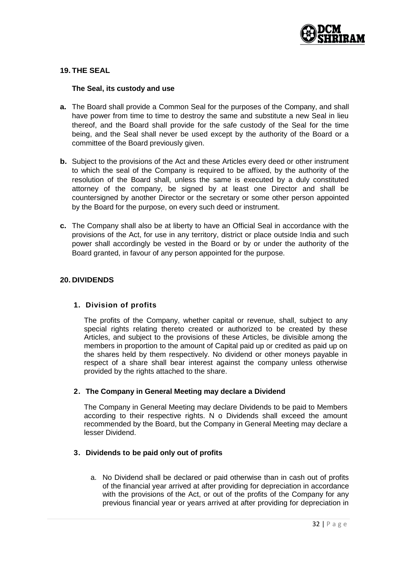

# **19. THE SEAL**

## **The Seal, its custody and use**

- **a.** The Board shall provide a Common Seal for the purposes of the Company, and shall have power from time to time to destroy the same and substitute a new Seal in lieu thereof, and the Board shall provide for the safe custody of the Seal for the time being, and the Seal shall never be used except by the authority of the Board or a committee of the Board previously given.
- **b.** Subject to the provisions of the Act and these Articles every deed or other instrument to which the seal of the Company is required to be affixed, by the authority of the resolution of the Board shall, unless the same is executed by a duly constituted attorney of the company, be signed by at least one Director and shall be countersigned by another Director or the secretary or some other person appointed by the Board for the purpose, on every such deed or instrument.
- **c.** The Company shall also be at liberty to have an Official Seal in accordance with the provisions of the Act, for use in any territory, district or place outside India and such power shall accordingly be vested in the Board or by or under the authority of the Board granted, in favour of any person appointed for the purpose.

# **20. DIVIDENDS**

#### **1. Division of profits**

The profits of the Company, whether capital or revenue, shall, subject to any special rights relating thereto created or authorized to be created by these Articles, and subject to the provisions of these Articles, be divisible among the members in proportion to the amount of Capital paid up or credited as paid up on the shares held by them respectively. No dividend or other moneys payable in respect of a share shall bear interest against the company unless otherwise provided by the rights attached to the share.

#### **2. The Company in General Meeting may declare a Dividend**

The Company in General Meeting may declare Dividends to be paid to Members according to their respective rights. N o Dividends shall exceed the amount recommended by the Board, but the Company in General Meeting may declare a lesser Dividend.

# **3. Dividends to be paid only out of profits**

a. No Dividend shall be declared or paid otherwise than in cash out of profits of the financial year arrived at after providing for depreciation in accordance with the provisions of the Act, or out of the profits of the Company for any previous financial year or years arrived at after providing for depreciation in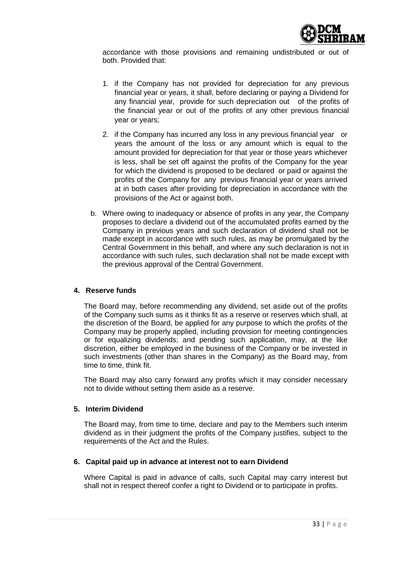

accordance with those provisions and remaining undistributed or out of both. Provided that:

- 1. if the Company has not provided for depreciation for any previous financial year or years, it shall, before declaring or paying a Dividend for any financial year, provide for such depreciation out of the profits of the financial year or out of the profits of any other previous financial year or years;
- 2. if the Company has incurred any loss in any previous financial year or years the amount of the loss or any amount which is equal to the amount provided for depreciation for that year or those years whichever is less, shall be set off against the profits of the Company for the year for which the dividend is proposed to be declared or paid or against the profits of the Company for any previous financial year or years arrived at in both cases after providing for depreciation in accordance with the provisions of the Act or against both.
- b. Where owing to inadequacy or absence of profits in any year, the Company proposes to declare a dividend out of the accumulated profits earned by the Company in previous years and such declaration of dividend shall not be made except in accordance with such rules, as may be promulgated by the Central Government in this behalf, and where any such declaration is not in accordance with such rules, such declaration shall not be made except with the previous approval of the Central Government.

# **4. Reserve funds**

The Board may, before recommending any dividend, set aside out of the profits of the Company such sums as it thinks fit as a reserve or reserves which shall, at the discretion of the Board, be applied for any purpose to which the profits of the Company may be properly applied, including provision for meeting contingencies or for equalizing dividends; and pending such application, may, at the like discretion, either be employed in the business of the Company or be invested in such investments (other than shares in the Company) as the Board may, from time to time, think fit.

The Board may also carry forward any profits which it may consider necessary not to divide without setting them aside as a reserve.

#### **5. Interim Dividend**

The Board may, from time to time, declare and pay to the Members such interim dividend as in their judgment the profits of the Company justifies, subject to the requirements of the Act and the Rules.

# **6. Capital paid up in advance at interest not to earn Dividend**

Where Capital is paid in advance of calls, such Capital may carry interest but shall not in respect thereof confer a right to Dividend or to participate in profits.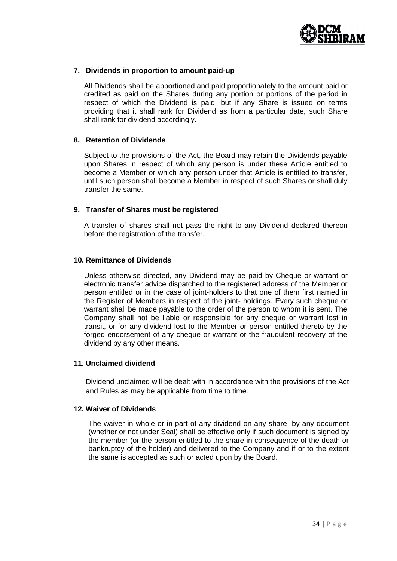

## **7. Dividends in proportion to amount paid-up**

All Dividends shall be apportioned and paid proportionately to the amount paid or credited as paid on the Shares during any portion or portions of the period in respect of which the Dividend is paid; but if any Share is issued on terms providing that it shall rank for Dividend as from a particular date, such Share shall rank for dividend accordingly.

### **8. Retention of Dividends**

Subject to the provisions of the Act, the Board may retain the Dividends payable upon Shares in respect of which any person is under these Article entitled to become a Member or which any person under that Article is entitled to transfer, until such person shall become a Member in respect of such Shares or shall duly transfer the same.

### **9. Transfer of Shares must be registered**

A transfer of shares shall not pass the right to any Dividend declared thereon before the registration of the transfer.

### **10. Remittance of Dividends**

Unless otherwise directed, any Dividend may be paid by Cheque or warrant or electronic transfer advice dispatched to the registered address of the Member or person entitled or in the case of joint-holders to that one of them first named in the Register of Members in respect of the joint- holdings. Every such cheque or warrant shall be made payable to the order of the person to whom it is sent. The Company shall not be liable or responsible for any cheque or warrant lost in transit, or for any dividend lost to the Member or person entitled thereto by the forged endorsement of any cheque or warrant or the fraudulent recovery of the dividend by any other means.

#### **11. Unclaimed dividend**

Dividend unclaimed will be dealt with in accordance with the provisions of the Act and Rules as may be applicable from time to time.

### **12. Waiver of Dividends**

The waiver in whole or in part of any dividend on any share, by any document (whether or not under Seal) shall be effective only if such document is signed by the member (or the person entitled to the share in consequence of the death or bankruptcy of the holder) and delivered to the Company and if or to the extent the same is accepted as such or acted upon by the Board.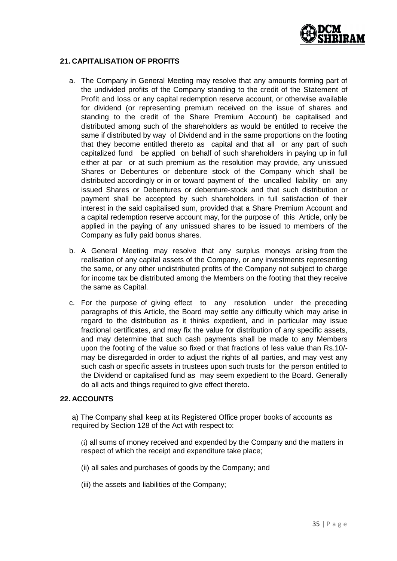

# **21. CAPITALISATION OF PROFITS**

- a. The Company in General Meeting may resolve that any amounts forming part of the undivided profits of the Company standing to the credit of the Statement of Profit and loss or any capital redemption reserve account, or otherwise available for dividend (or representing premium received on the issue of shares and standing to the credit of the Share Premium Account) be capitalised and distributed among such of the shareholders as would be entitled to receive the same if distributed by way of Dividend and in the same proportions on the footing that they become entitled thereto as capital and that all or any part of such capitalized fund be applied on behalf of such shareholders in paying up in full either at par or at such premium as the resolution may provide, any unissued Shares or Debentures or debenture stock of the Company which shall be distributed accordingly or in or toward payment of the uncalled liability on any issued Shares or Debentures or debenture-stock and that such distribution or payment shall be accepted by such shareholders in full satisfaction of their interest in the said capitalised sum, provided that a Share Premium Account and a capital redemption reserve account may, for the purpose of this Article, only be applied in the paying of any unissued shares to be issued to members of the Company as fully paid bonus shares.
- b. A General Meeting may resolve that any surplus moneys arising from the realisation of any capital assets of the Company, or any investments representing the same, or any other undistributed profits of the Company not subject to charge for income tax be distributed among the Members on the footing that they receive the same as Capital.
- c. For the purpose of giving effect to any resolution under the preceding paragraphs of this Article, the Board may settle any difficulty which may arise in regard to the distribution as it thinks expedient, and in particular may issue fractional certificates, and may fix the value for distribution of any specific assets, and may determine that such cash payments shall be made to any Members upon the footing of the value so fixed or that fractions of less value than Rs.10/ may be disregarded in order to adjust the rights of all parties, and may vest any such cash or specific assets in trustees upon such trusts for the person entitled to the Dividend or capitalised fund as may seem expedient to the Board. Generally do all acts and things required to give effect thereto.

# **22. ACCOUNTS**

a) The Company shall keep at its Registered Office proper books of accounts as required by Section 128 of the Act with respect to:

(i) all sums of money received and expended by the Company and the matters in respect of which the receipt and expenditure take place;

- (ii) all sales and purchases of goods by the Company; and
- (iii) the assets and liabilities of the Company;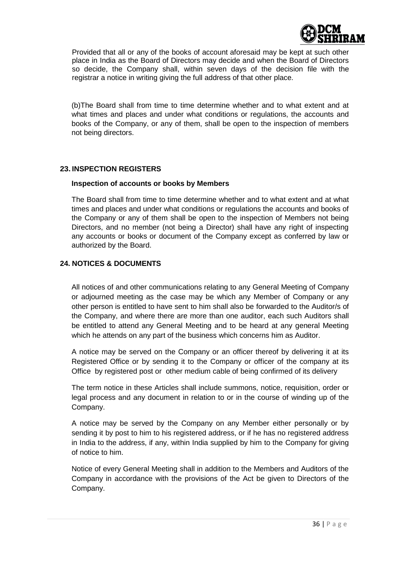

Provided that all or any of the books of account aforesaid may be kept at such other place in India as the Board of Directors may decide and when the Board of Directors so decide, the Company shall, within seven days of the decision file with the registrar a notice in writing giving the full address of that other place.

(b)The Board shall from time to time determine whether and to what extent and at what times and places and under what conditions or regulations, the accounts and books of the Company, or any of them, shall be open to the inspection of members not being directors.

# **23. INSPECTION REGISTERS**

### **Inspection of accounts or books by Members**

The Board shall from time to time determine whether and to what extent and at what times and places and under what conditions or regulations the accounts and books of the Company or any of them shall be open to the inspection of Members not being Directors, and no member (not being a Director) shall have any right of inspecting any accounts or books or document of the Company except as conferred by law or authorized by the Board.

# **24. NOTICES & DOCUMENTS**

All notices of and other communications relating to any General Meeting of Company or adjourned meeting as the case may be which any Member of Company or any other person is entitled to have sent to him shall also be forwarded to the Auditor/s of the Company, and where there are more than one auditor, each such Auditors shall be entitled to attend any General Meeting and to be heard at any general Meeting which he attends on any part of the business which concerns him as Auditor.

A notice may be served on the Company or an officer thereof by delivering it at its Registered Office or by sending it to the Company or officer of the company at its Office by registered post or other medium cable of being confirmed of its delivery

The term notice in these Articles shall include summons, notice, requisition, order or legal process and any document in relation to or in the course of winding up of the Company.

A notice may be served by the Company on any Member either personally or by sending it by post to him to his registered address, or if he has no registered address in India to the address, if any, within India supplied by him to the Company for giving of notice to him.

Notice of every General Meeting shall in addition to the Members and Auditors of the Company in accordance with the provisions of the Act be given to Directors of the Company.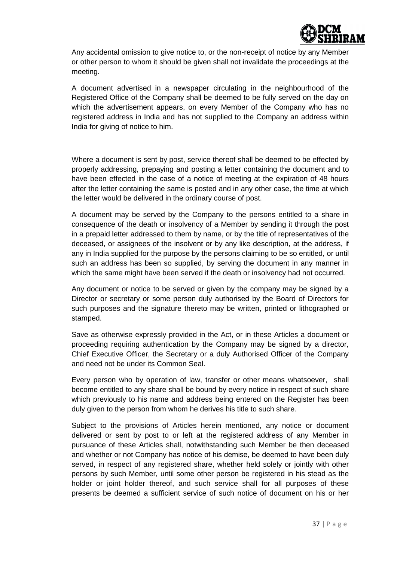

Any accidental omission to give notice to, or the non-receipt of notice by any Member or other person to whom it should be given shall not invalidate the proceedings at the meeting.

A document advertised in a newspaper circulating in the neighbourhood of the Registered Office of the Company shall be deemed to be fully served on the day on which the advertisement appears, on every Member of the Company who has no registered address in India and has not supplied to the Company an address within India for giving of notice to him.

Where a document is sent by post, service thereof shall be deemed to be effected by properly addressing, prepaying and posting a letter containing the document and to have been effected in the case of a notice of meeting at the expiration of 48 hours after the letter containing the same is posted and in any other case, the time at which the letter would be delivered in the ordinary course of post.

A document may be served by the Company to the persons entitled to a share in consequence of the death or insolvency of a Member by sending it through the post in a prepaid letter addressed to them by name, or by the title of representatives of the deceased, or assignees of the insolvent or by any like description, at the address, if any in India supplied for the purpose by the persons claiming to be so entitled, or until such an address has been so supplied, by serving the document in any manner in which the same might have been served if the death or insolvency had not occurred.

Any document or notice to be served or given by the company may be signed by a Director or secretary or some person duly authorised by the Board of Directors for such purposes and the signature thereto may be written, printed or lithographed or stamped.

Save as otherwise expressly provided in the Act, or in these Articles a document or proceeding requiring authentication by the Company may be signed by a director, Chief Executive Officer, the Secretary or a duly Authorised Officer of the Company and need not be under its Common Seal.

Every person who by operation of law, transfer or other means whatsoever, shall become entitled to any share shall be bound by every notice in respect of such share which previously to his name and address being entered on the Register has been duly given to the person from whom he derives his title to such share.

Subject to the provisions of Articles herein mentioned, any notice or document delivered or sent by post to or left at the registered address of any Member in pursuance of these Articles shall, notwithstanding such Member be then deceased and whether or not Company has notice of his demise, be deemed to have been duly served, in respect of any registered share, whether held solely or jointly with other persons by such Member, until some other person be registered in his stead as the holder or joint holder thereof, and such service shall for all purposes of these presents be deemed a sufficient service of such notice of document on his or her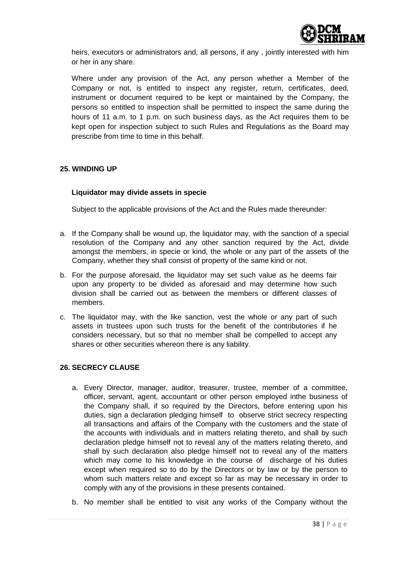

heirs, executors or administrators and, all persons, if any , jointly interested with him or her in any share.

Where under any provision of the Act, any person whether a Member of the Company or not, is entitled to inspect any register, return, certificates, deed, instrument or document required to be kept or maintained by the Company, the persons so entitled to inspection shall be permitted to inspect the same during the hours of 11 a.m. to 1 p.m. on such business days, as the Act requires them to be kept open for inspection subject to such Rules and Regulations as the Board may prescribe from time to time in this behalf.

# **25. WINDING UP**

# **Liquidator may divide assets in specie**

Subject to the applicable provisions of the Act and the Rules made thereunder:

- a. If the Company shall be wound up, the liquidator may, with the sanction of a special resolution of the Company and any other sanction required by the Act, divide amongst the members, in specie or kind, the whole or any part of the assets of the Company, whether they shall consist of property of the same kind or not.
- b. For the purpose aforesaid, the liquidator may set such value as he deems fair upon any property to be divided as aforesaid and may determine how such division shall be carried out as between the members or different classes of members.
- c. The liquidator may, with the like sanction, vest the whole or any part of such assets in trustees upon such trusts for the benefit of the contributories if he considers necessary, but so that no member shall be compelled to accept any shares or other securities whereon there is any liability.

# **26. SECRECY CLAUSE**

- a. Every Director, manager, auditor, treasurer, trustee, member of a committee, officer, servant, agent, accountant or other person employed inthe business of the Company shall, if so required by the Directors, before entering upon his duties, sign a declaration pledging himself to observe strict secrecy respecting all transactions and affairs of the Company with the customers and the state of the accounts with individuals and in matters relating thereto, and shall by such declaration pledge himself not to reveal any of the matters relating thereto, and shall by such declaration also pledge himself not to reveal any of the matters which may come to his knowledge in the course of discharge of his duties except when required so to do by the Directors or by law or by the person to whom such matters relate and except so far as may be necessary in order to comply with any of the provisions in these presents contained.
- b. No member shall be entitled to visit any works of the Company without the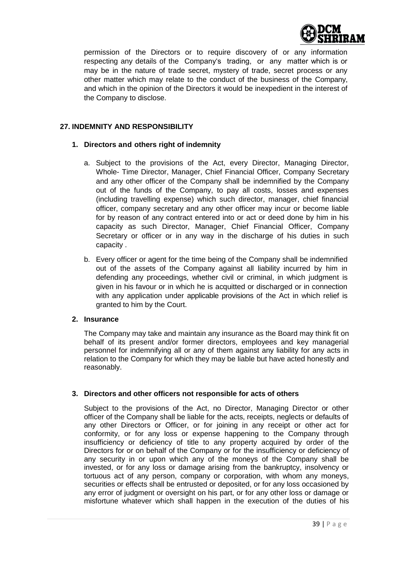

permission of the Directors or to require discovery of or any information respecting any details of the Company"s trading, or any matter which is or may be in the nature of trade secret, mystery of trade, secret process or any other matter which may relate to the conduct of the business of the Company, and which in the opinion of the Directors it would be inexpedient in the interest of the Company to disclose.

# **27. INDEMNITY AND RESPONSIBILITY**

# **1. Directors and others right of indemnity**

- a. Subject to the provisions of the Act, every Director, Managing Director, Whole- Time Director, Manager, Chief Financial Officer, Company Secretary and any other officer of the Company shall be indemnified by the Company out of the funds of the Company, to pay all costs, losses and expenses (including travelling expense) which such director, manager, chief financial officer, company secretary and any other officer may incur or become liable for by reason of any contract entered into or act or deed done by him in his capacity as such Director, Manager, Chief Financial Officer, Company Secretary or officer or in any way in the discharge of his duties in such capacity .
- b. Every officer or agent for the time being of the Company shall be indemnified out of the assets of the Company against all liability incurred by him in defending any proceedings, whether civil or criminal, in which judgment is given in his favour or in which he is acquitted or discharged or in connection with any application under applicable provisions of the Act in which relief is granted to him by the Court.

# **2. Insurance**

The Company may take and maintain any insurance as the Board may think fit on behalf of its present and/or former directors, employees and key managerial personnel for indemnifying all or any of them against any liability for any acts in relation to the Company for which they may be liable but have acted honestly and reasonably.

# **3. Directors and other officers not responsible for acts of others**

Subject to the provisions of the Act, no Director, Managing Director or other officer of the Company shall be liable for the acts, receipts, neglects or defaults of any other Directors or Officer, or for joining in any receipt or other act for conformity, or for any loss or expense happening to the Company through insufficiency or deficiency of title to any property acquired by order of the Directors for or on behalf of the Company or for the insufficiency or deficiency of any security in or upon which any of the moneys of the Company shall be invested, or for any loss or damage arising from the bankruptcy, insolvency or tortuous act of any person, company or corporation, with whom any moneys, securities or effects shall be entrusted or deposited, or for any loss occasioned by any error of judgment or oversight on his part, or for any other loss or damage or misfortune whatever which shall happen in the execution of the duties of his